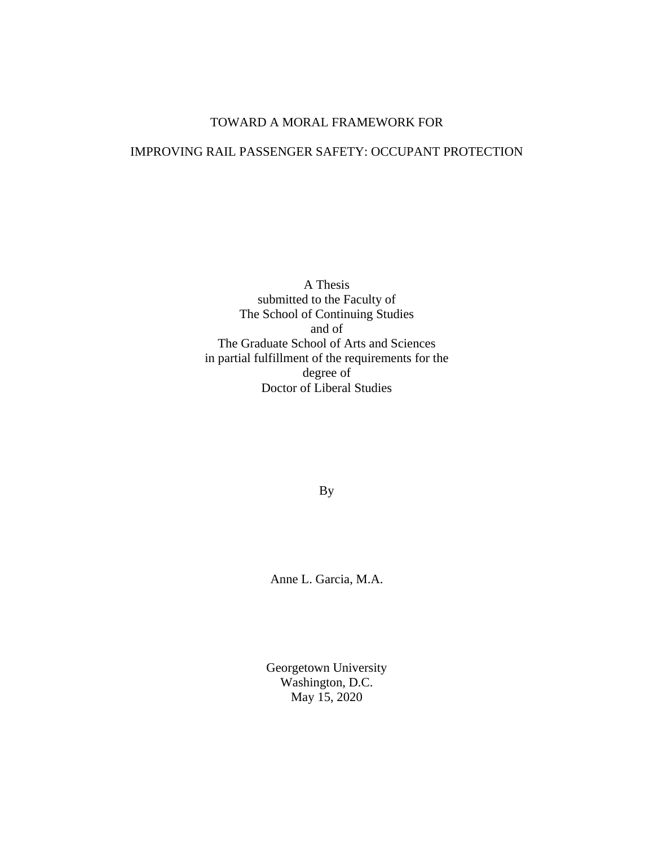# TOWARD A MORAL FRAMEWORK FOR

# IMPROVING RAIL PASSENGER SAFETY: OCCUPANT PROTECTION

A Thesis submitted to the Faculty of The School of Continuing Studies and of The Graduate School of Arts and Sciences in partial fulfillment of the requirements for the degree of Doctor of Liberal Studies

By

Anne L. Garcia, M.A.

Georgetown University Washington, D.C. May 15, 2020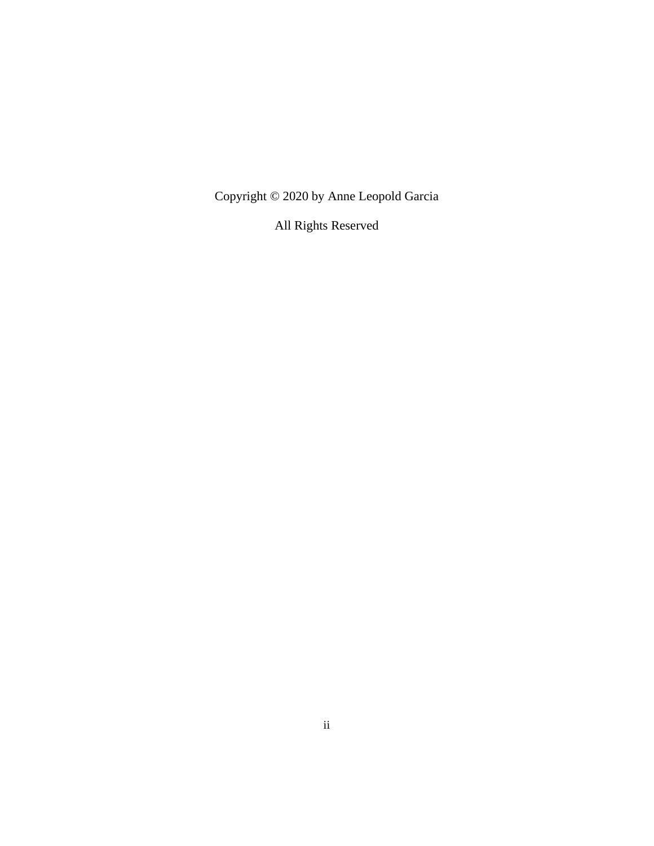Copyright © 2020 by Anne Leopold Garcia

All Rights Reserved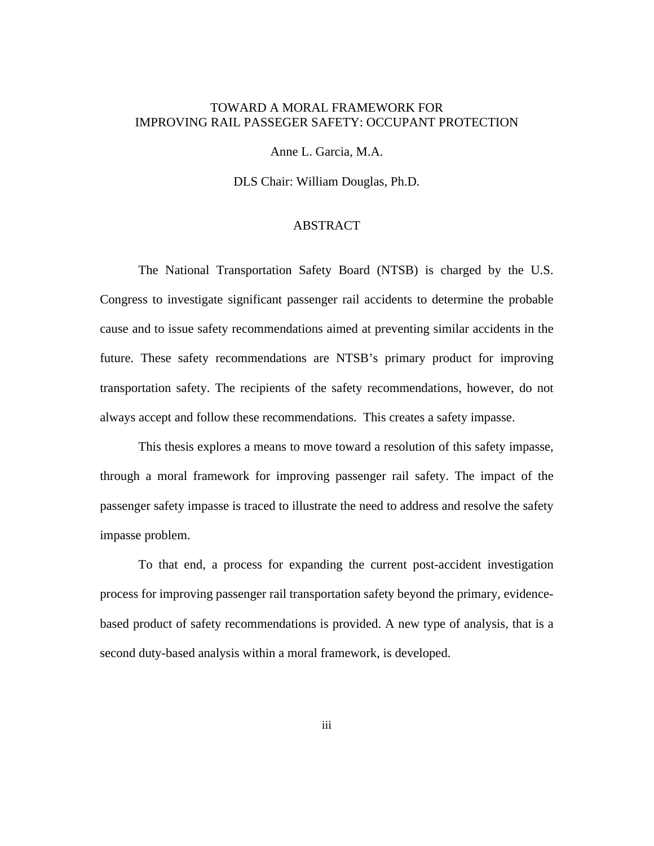# TOWARD A MORAL FRAMEWORK FOR IMPROVING RAIL PASSEGER SAFETY: OCCUPANT PROTECTION

Anne L. Garcia, M.A.

DLS Chair: William Douglas, Ph.D.

## ABSTRACT

The National Transportation Safety Board (NTSB) is charged by the U.S. Congress to investigate significant passenger rail accidents to determine the probable cause and to issue safety recommendations aimed at preventing similar accidents in the future. These safety recommendations are NTSB's primary product for improving transportation safety. The recipients of the safety recommendations, however, do not always accept and follow these recommendations. This creates a safety impasse.

This thesis explores a means to move toward a resolution of this safety impasse, through a moral framework for improving passenger rail safety. The impact of the passenger safety impasse is traced to illustrate the need to address and resolve the safety impasse problem.

To that end, a process for expanding the current post-accident investigation process for improving passenger rail transportation safety beyond the primary, evidencebased product of safety recommendations is provided. A new type of analysis, that is a second duty-based analysis within a moral framework, is developed.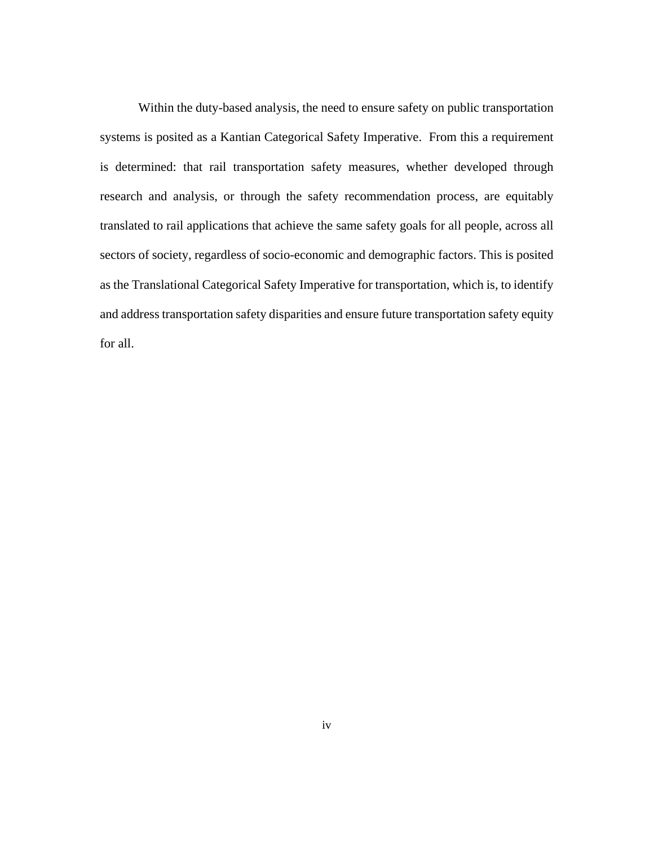Within the duty-based analysis, the need to ensure safety on public transportation systems is posited as a Kantian Categorical Safety Imperative. From this a requirement is determined: that rail transportation safety measures, whether developed through research and analysis, or through the safety recommendation process, are equitably translated to rail applications that achieve the same safety goals for all people, across all sectors of society, regardless of socio-economic and demographic factors. This is posited as the Translational Categorical Safety Imperative for transportation, which is, to identify and address transportation safety disparities and ensure future transportation safety equity for all.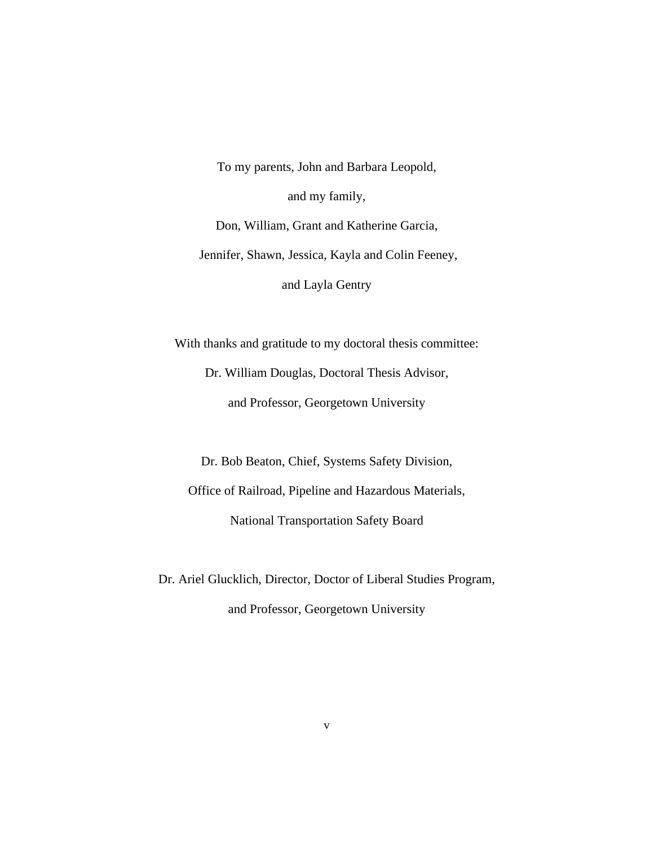To my parents, John and Barbara Leopold, and my family, Don, William, Grant and Katherine Garcia, Jennifer, Shawn, Jessica, Kayla and Colin Feeney, and Layla Gentry

With thanks and gratitude to my doctoral thesis committee: Dr. William Douglas, Doctoral Thesis Advisor, and Professor, Georgetown University

Dr. Bob Beaton, Chief, Systems Safety Division, Office of Railroad, Pipeline and Hazardous Materials, National Transportation Safety Board

Dr. Ariel Glucklich, Director, Doctor of Liberal Studies Program, and Professor, Georgetown University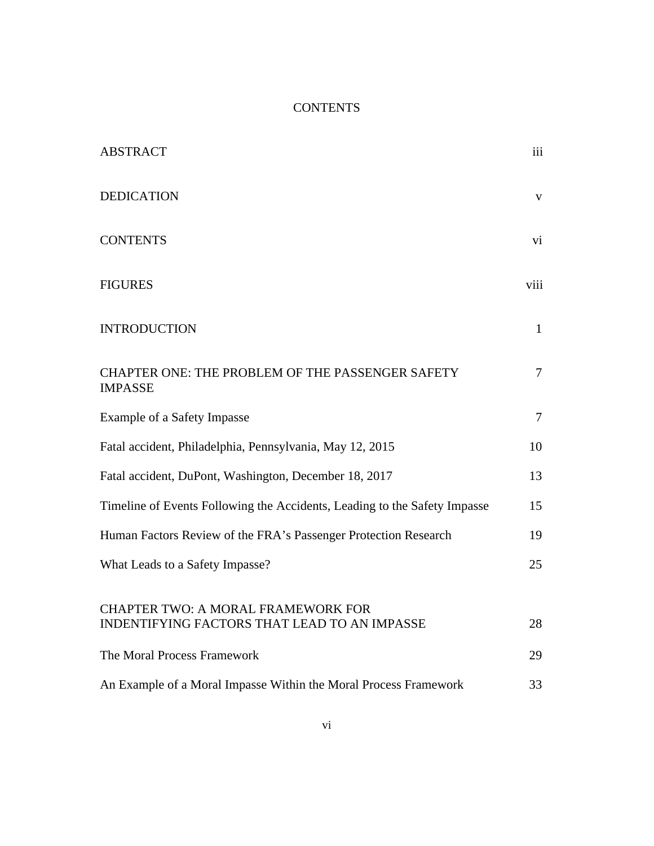# **CONTENTS**

| <b>ABSTRACT</b>                                                                                  | iii          |
|--------------------------------------------------------------------------------------------------|--------------|
| <b>DEDICATION</b>                                                                                | V            |
| <b>CONTENTS</b>                                                                                  | vi           |
| <b>FIGURES</b>                                                                                   | viii         |
| <b>INTRODUCTION</b>                                                                              | $\mathbf{1}$ |
| <b>CHAPTER ONE: THE PROBLEM OF THE PASSENGER SAFETY</b><br><b>IMPASSE</b>                        | $\tau$       |
| Example of a Safety Impasse                                                                      | $\tau$       |
| Fatal accident, Philadelphia, Pennsylvania, May 12, 2015                                         | 10           |
| Fatal accident, DuPont, Washington, December 18, 2017                                            | 13           |
| Timeline of Events Following the Accidents, Leading to the Safety Impasse                        | 15           |
| Human Factors Review of the FRA's Passenger Protection Research                                  | 19           |
| What Leads to a Safety Impasse?                                                                  | 25           |
| <b>CHAPTER TWO: A MORAL FRAMEWORK FOR</b><br><b>INDENTIFYING FACTORS THAT LEAD TO AN IMPASSE</b> | 28           |
| The Moral Process Framework                                                                      | 29           |
| An Example of a Moral Impasse Within the Moral Process Framework                                 | 33           |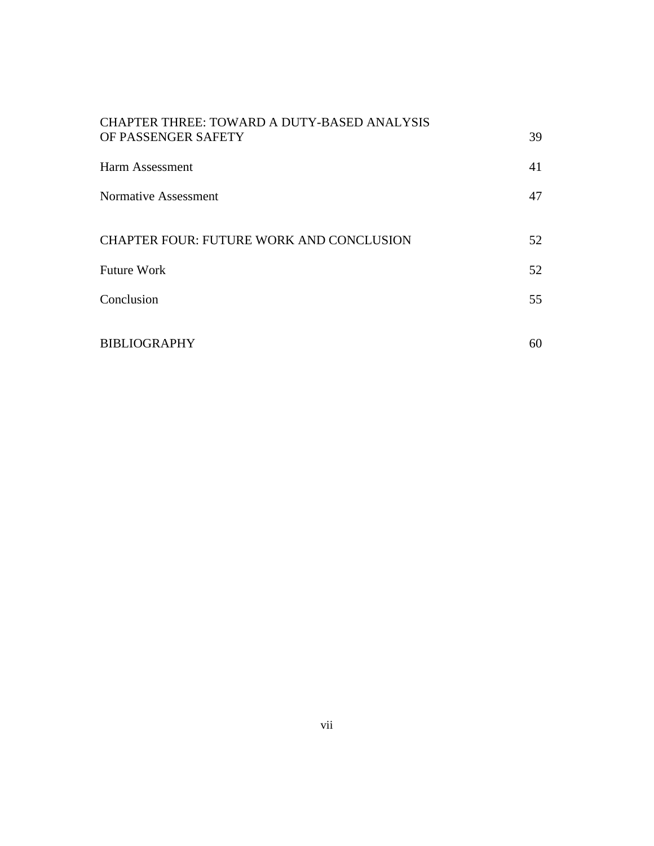| CHAPTER THREE: TOWARD A DUTY-BASED ANALYSIS     |    |
|-------------------------------------------------|----|
| OF PASSENGER SAFETY                             | 39 |
| Harm Assessment                                 | 41 |
| Normative Assessment                            | 47 |
|                                                 |    |
| <b>CHAPTER FOUR: FUTURE WORK AND CONCLUSION</b> | 52 |
| <b>Future Work</b>                              | 52 |
| Conclusion                                      | 55 |
|                                                 |    |
| <b>BIBLIOGRAPHY</b>                             | 60 |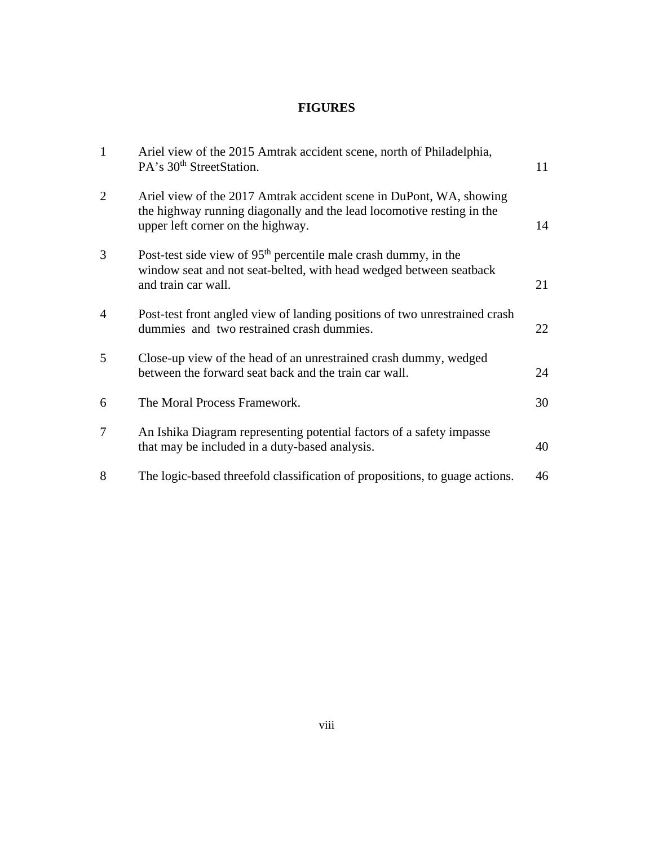# **FIGURES**

| $\mathbf{1}$   | Ariel view of the 2015 Amtrak accident scene, north of Philadelphia,<br>PA's 30 <sup>th</sup> StreetStation.                                                                      | 11 |
|----------------|-----------------------------------------------------------------------------------------------------------------------------------------------------------------------------------|----|
| $\overline{2}$ | Ariel view of the 2017 Amtrak accident scene in DuPont, WA, showing<br>the highway running diagonally and the lead locomotive resting in the<br>upper left corner on the highway. | 14 |
| 3              | Post-test side view of $95th$ percentile male crash dummy, in the<br>window seat and not seat-belted, with head wedged between seatback<br>and train car wall.                    | 21 |
| $\overline{4}$ | Post-test front angled view of landing positions of two unrestrained crash<br>dummies and two restrained crash dummies.                                                           | 22 |
| 5              | Close-up view of the head of an unrestrained crash dummy, wedged<br>between the forward seat back and the train car wall.                                                         | 24 |
| 6              | The Moral Process Framework.                                                                                                                                                      | 30 |
| 7              | An Ishika Diagram representing potential factors of a safety impasse<br>that may be included in a duty-based analysis.                                                            | 40 |
| 8              | The logic-based threefold classification of propositions, to guage actions.                                                                                                       | 46 |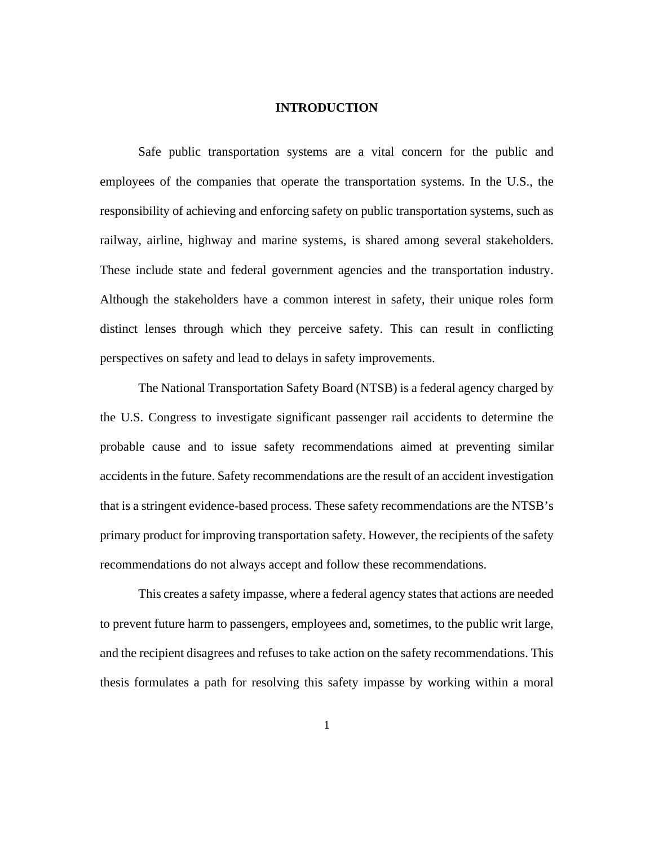#### **INTRODUCTION**

Safe public transportation systems are a vital concern for the public and employees of the companies that operate the transportation systems. In the U.S., the responsibility of achieving and enforcing safety on public transportation systems, such as railway, airline, highway and marine systems, is shared among several stakeholders. These include state and federal government agencies and the transportation industry. Although the stakeholders have a common interest in safety, their unique roles form distinct lenses through which they perceive safety. This can result in conflicting perspectives on safety and lead to delays in safety improvements.

The National Transportation Safety Board (NTSB) is a federal agency charged by the U.S. Congress to investigate significant passenger rail accidents to determine the probable cause and to issue safety recommendations aimed at preventing similar accidents in the future. Safety recommendations are the result of an accident investigation that is a stringent evidence-based process. These safety recommendations are the NTSB's primary product for improving transportation safety. However, the recipients of the safety recommendations do not always accept and follow these recommendations.

This creates a safety impasse, where a federal agency states that actions are needed to prevent future harm to passengers, employees and, sometimes, to the public writ large, and the recipient disagrees and refuses to take action on the safety recommendations. This thesis formulates a path for resolving this safety impasse by working within a moral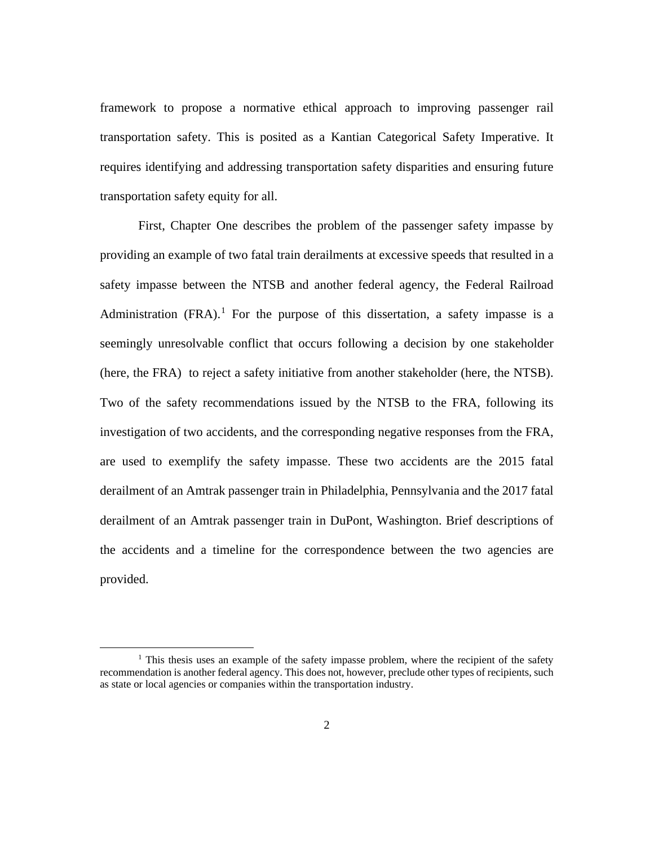framework to propose a normative ethical approach to improving passenger rail transportation safety. This is posited as a Kantian Categorical Safety Imperative. It requires identifying and addressing transportation safety disparities and ensuring future transportation safety equity for all.

First, Chapter One describes the problem of the passenger safety impasse by providing an example of two fatal train derailments at excessive speeds that resulted in a safety impasse between the NTSB and another federal agency, the Federal Railroad Administration  $(FRA)$ .<sup>[1](#page-9-0)</sup> For the purpose of this dissertation, a safety impasse is a seemingly unresolvable conflict that occurs following a decision by one stakeholder (here, the FRA) to reject a safety initiative from another stakeholder (here, the NTSB). Two of the safety recommendations issued by the NTSB to the FRA, following its investigation of two accidents, and the corresponding negative responses from the FRA, are used to exemplify the safety impasse. These two accidents are the 2015 fatal derailment of an Amtrak passenger train in Philadelphia, Pennsylvania and the 2017 fatal derailment of an Amtrak passenger train in DuPont, Washington. Brief descriptions of the accidents and a timeline for the correspondence between the two agencies are provided.

<span id="page-9-0"></span><sup>&</sup>lt;sup>1</sup> This thesis uses an example of the safety impasse problem, where the recipient of the safety recommendation is another federal agency. This does not, however, preclude other types of recipients, such as state or local agencies or companies within the transportation industry.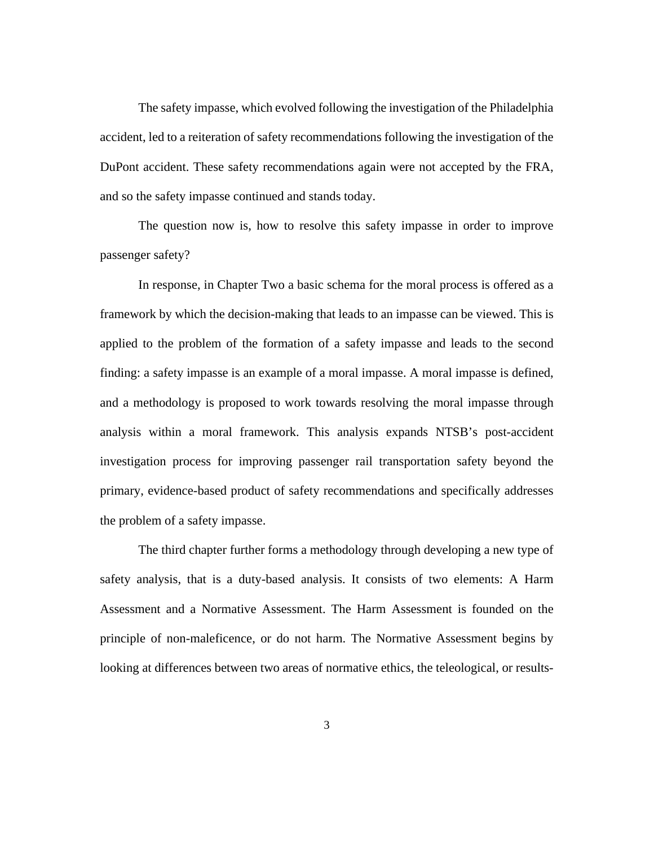The safety impasse, which evolved following the investigation of the Philadelphia accident, led to a reiteration of safety recommendations following the investigation of the DuPont accident. These safety recommendations again were not accepted by the FRA, and so the safety impasse continued and stands today.

The question now is, how to resolve this safety impasse in order to improve passenger safety?

In response, in Chapter Two a basic schema for the moral process is offered as a framework by which the decision-making that leads to an impasse can be viewed. This is applied to the problem of the formation of a safety impasse and leads to the second finding: a safety impasse is an example of a moral impasse. A moral impasse is defined, and a methodology is proposed to work towards resolving the moral impasse through analysis within a moral framework. This analysis expands NTSB's post-accident investigation process for improving passenger rail transportation safety beyond the primary, evidence-based product of safety recommendations and specifically addresses the problem of a safety impasse.

The third chapter further forms a methodology through developing a new type of safety analysis, that is a duty-based analysis. It consists of two elements: A Harm Assessment and a Normative Assessment. The Harm Assessment is founded on the principle of non-maleficence, or do not harm. The Normative Assessment begins by looking at differences between two areas of normative ethics, the teleological, or results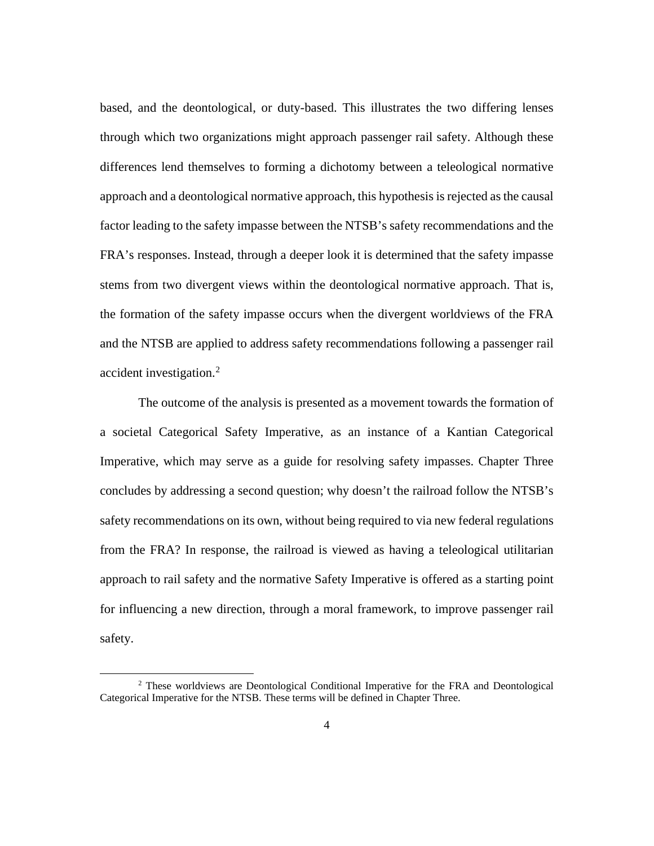based, and the deontological, or duty-based. This illustrates the two differing lenses through which two organizations might approach passenger rail safety. Although these differences lend themselves to forming a dichotomy between a teleological normative approach and a deontological normative approach, this hypothesis is rejected as the causal factor leading to the safety impasse between the NTSB's safety recommendations and the FRA's responses. Instead, through a deeper look it is determined that the safety impasse stems from two divergent views within the deontological normative approach. That is, the formation of the safety impasse occurs when the divergent worldviews of the FRA and the NTSB are applied to address safety recommendations following a passenger rail accident investigation.<sup>[2](#page-11-0)</sup>

The outcome of the analysis is presented as a movement towards the formation of a societal Categorical Safety Imperative, as an instance of a Kantian Categorical Imperative, which may serve as a guide for resolving safety impasses. Chapter Three concludes by addressing a second question; why doesn't the railroad follow the NTSB's safety recommendations on its own, without being required to via new federal regulations from the FRA? In response, the railroad is viewed as having a teleological utilitarian approach to rail safety and the normative Safety Imperative is offered as a starting point for influencing a new direction, through a moral framework, to improve passenger rail safety.

<span id="page-11-0"></span><sup>2</sup> These worldviews are Deontological Conditional Imperative for the FRA and Deontological Categorical Imperative for the NTSB. These terms will be defined in Chapter Three.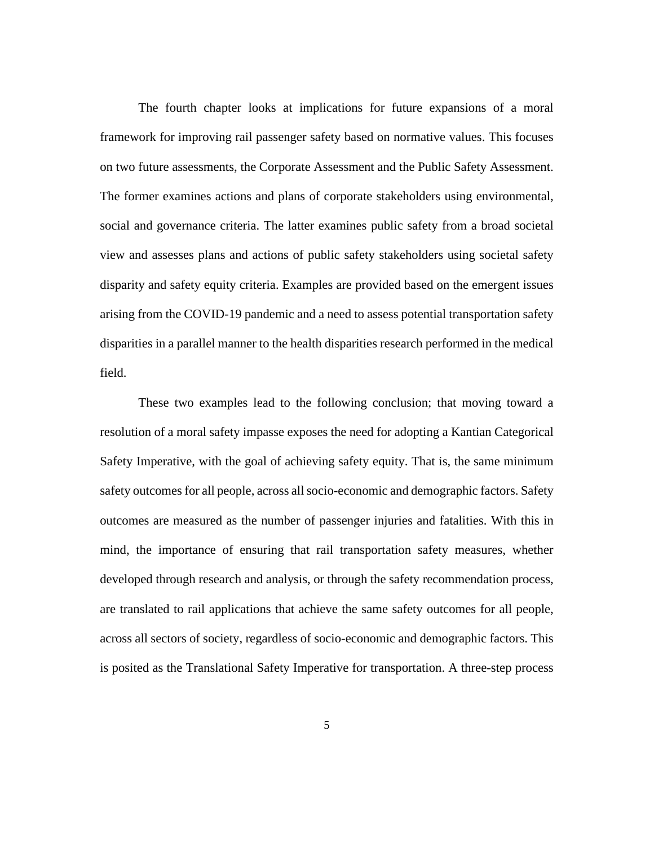The fourth chapter looks at implications for future expansions of a moral framework for improving rail passenger safety based on normative values. This focuses on two future assessments, the Corporate Assessment and the Public Safety Assessment. The former examines actions and plans of corporate stakeholders using environmental, social and governance criteria. The latter examines public safety from a broad societal view and assesses plans and actions of public safety stakeholders using societal safety disparity and safety equity criteria. Examples are provided based on the emergent issues arising from the COVID-19 pandemic and a need to assess potential transportation safety disparities in a parallel manner to the health disparities research performed in the medical field.

These two examples lead to the following conclusion; that moving toward a resolution of a moral safety impasse exposes the need for adopting a Kantian Categorical Safety Imperative, with the goal of achieving safety equity. That is, the same minimum safety outcomesfor all people, across all socio-economic and demographic factors. Safety outcomes are measured as the number of passenger injuries and fatalities. With this in mind, the importance of ensuring that rail transportation safety measures, whether developed through research and analysis, or through the safety recommendation process, are translated to rail applications that achieve the same safety outcomes for all people, across all sectors of society, regardless of socio-economic and demographic factors. This is posited as the Translational Safety Imperative for transportation. A three-step process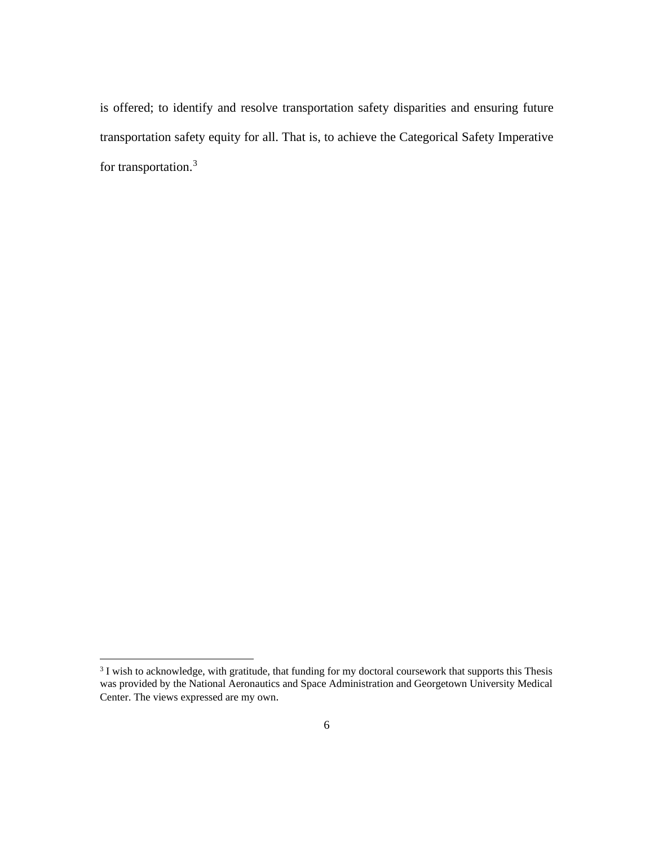is offered; to identify and resolve transportation safety disparities and ensuring future transportation safety equity for all. That is, to achieve the Categorical Safety Imperative for transportation.[3](#page-13-0)

<span id="page-13-0"></span><sup>&</sup>lt;sup>3</sup> I wish to acknowledge, with gratitude, that funding for my doctoral coursework that supports this Thesis was provided by the National Aeronautics and Space Administration and Georgetown University Medical Center. The views expressed are my own.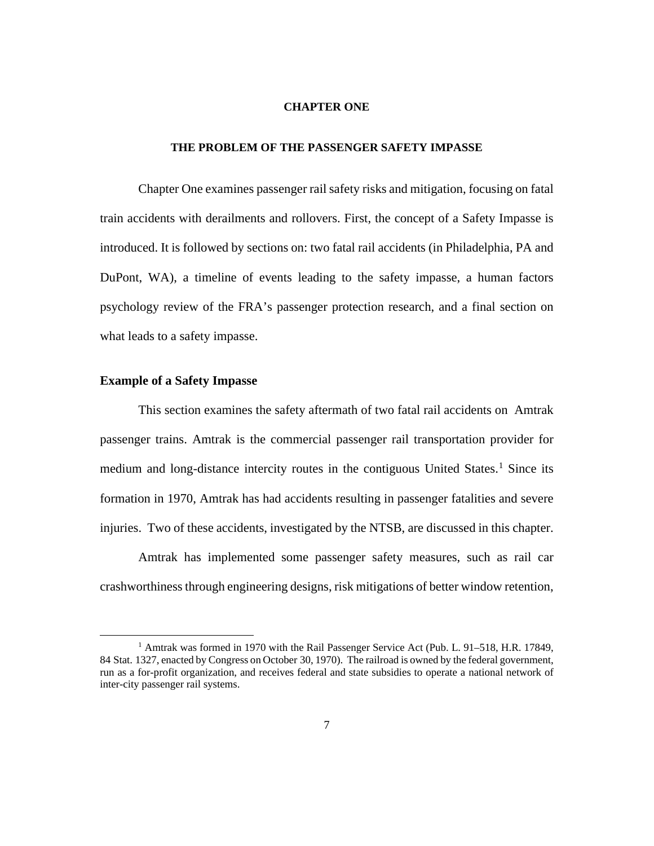#### **CHAPTER ONE**

### **THE PROBLEM OF THE PASSENGER SAFETY IMPASSE**

Chapter One examines passenger rail safety risks and mitigation, focusing on fatal train accidents with derailments and rollovers. First, the concept of a Safety Impasse is introduced. It is followed by sections on: two fatal rail accidents (in Philadelphia, PA and DuPont, WA), a timeline of events leading to the safety impasse, a human factors psychology review of the FRA's passenger protection research, and a final section on what leads to a safety impasse.

#### **Example of a Safety Impasse**

This section examines the safety aftermath of two fatal rail accidents on Amtrak passenger trains. Amtrak is the commercial passenger rail transportation provider for medium and long-distance intercity routes in the contiguous United States.<sup>[1](#page-14-0)</sup> Since its formation in 1970, Amtrak has had accidents resulting in passenger fatalities and severe injuries. Two of these accidents, investigated by the NTSB, are discussed in this chapter.

Amtrak has implemented some passenger safety measures, such as rail car crashworthiness through engineering designs, risk mitigations of better window retention,

<span id="page-14-0"></span><sup>&</sup>lt;sup>1</sup> Amtrak was formed in 1970 with the Rail Passenger Service Act [\(Pub. L.](https://en.wikipedia.org/wiki/Act_of_Congress) 91–518, H.R. 17849, 84 [Stat.](https://en.wikipedia.org/wiki/United_States_Statutes_at_Large) [1327,](http://legislink.org/us/stat-84-1327) enacted by Congress on October 30, 1970). The railroad is owned by the federal government, run as a for-profit organization, and receives federal and state subsidies to operate a national network of inter-city passenger rail systems.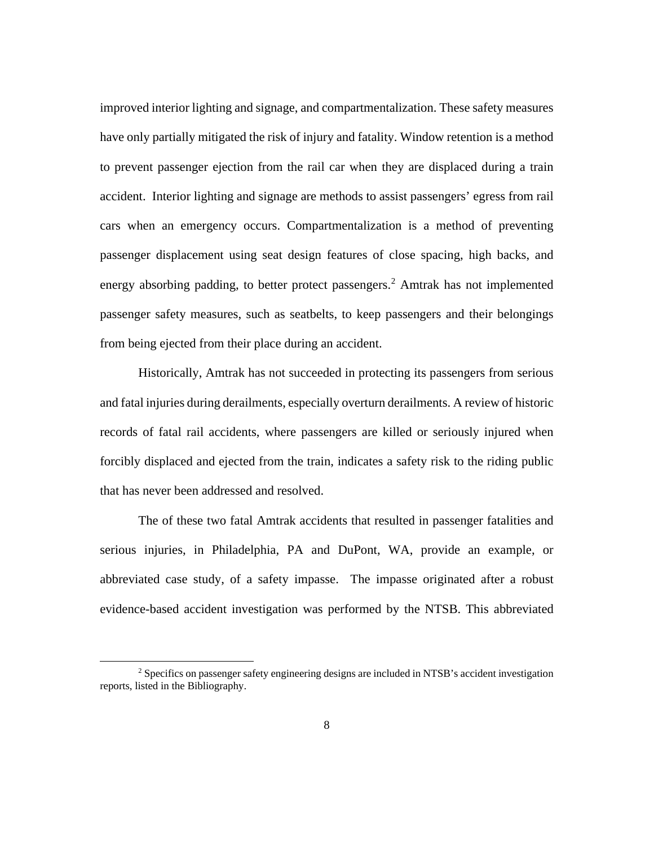improved interior lighting and signage, and compartmentalization. These safety measures have only partially mitigated the risk of injury and fatality. Window retention is a method to prevent passenger ejection from the rail car when they are displaced during a train accident. Interior lighting and signage are methods to assist passengers' egress from rail cars when an emergency occurs. Compartmentalization is a method of preventing passenger displacement using seat design features of close spacing, high backs, and energy absorbing padding, to better protect passengers. [2](#page-15-0) Amtrak has not implemented passenger safety measures, such as seatbelts, to keep passengers and their belongings from being ejected from their place during an accident.

Historically, Amtrak has not succeeded in protecting its passengers from serious and fatal injuries during derailments, especially overturn derailments. A review of historic records of fatal rail accidents, where passengers are killed or seriously injured when forcibly displaced and ejected from the train, indicates a safety risk to the riding public that has never been addressed and resolved.

The of these two fatal Amtrak accidents that resulted in passenger fatalities and serious injuries, in Philadelphia, PA and DuPont, WA, provide an example, or abbreviated case study, of a safety impasse. The impasse originated after a robust evidence-based accident investigation was performed by the NTSB. This abbreviated

<span id="page-15-0"></span><sup>2</sup> Specifics on passenger safety engineering designs are included in NTSB's accident investigation reports, listed in the Bibliography.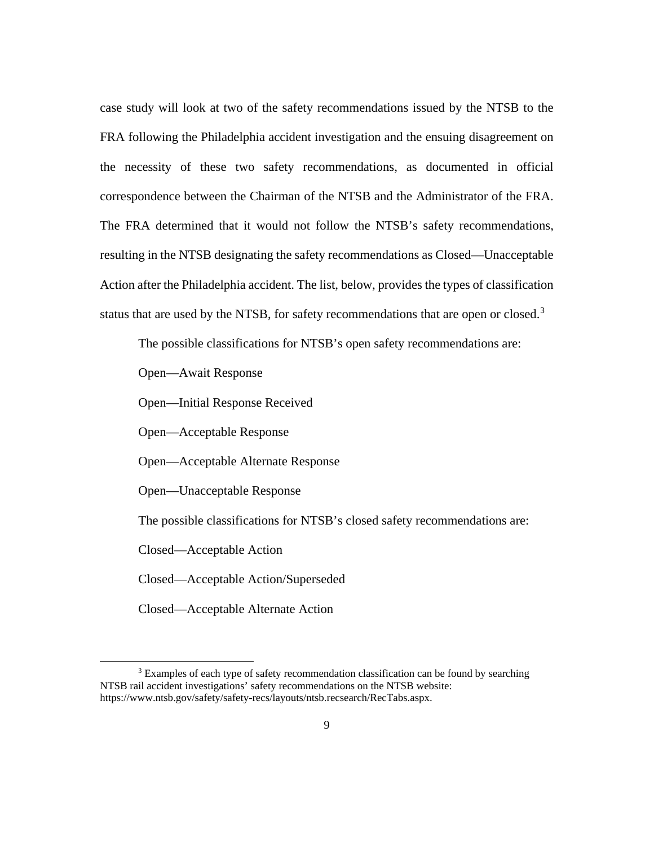case study will look at two of the safety recommendations issued by the NTSB to the FRA following the Philadelphia accident investigation and the ensuing disagreement on the necessity of these two safety recommendations, as documented in official correspondence between the Chairman of the NTSB and the Administrator of the FRA. The FRA determined that it would not follow the NTSB's safety recommendations, resulting in the NTSB designating the safety recommendations as Closed—Unacceptable Action after the Philadelphia accident. The list, below, provides the types of classification status that are used by the NTSB, for safety recommendations that are open or closed.<sup>[3](#page-16-0)</sup>

The possible classifications for NTSB's open safety recommendations are:

Open—Await Response

Open—Initial Response Received

Open—Acceptable Response

Open—Acceptable Alternate Response

Open—Unacceptable Response

The possible classifications for NTSB's closed safety recommendations are:

Closed—Acceptable Action

Closed—Acceptable Action/Superseded

Closed—Acceptable Alternate Action

<span id="page-16-0"></span><sup>&</sup>lt;sup>3</sup> Examples of each type of safety recommendation classification can be found by searching NTSB rail accident investigations' safety recommendations on the NTSB website: https://www.ntsb.gov/safety/safety-recs/layouts/ntsb.recsearch/RecTabs.aspx.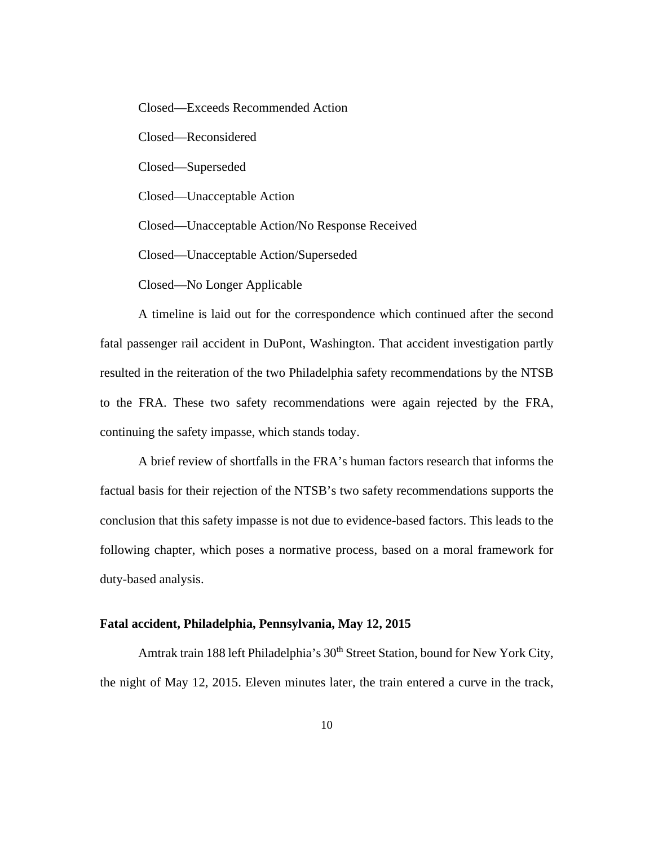Closed—Exceeds Recommended Action

Closed—Reconsidered

Closed—Superseded

Closed—Unacceptable Action

Closed—Unacceptable Action/No Response Received

Closed—Unacceptable Action/Superseded

Closed—No Longer Applicable

A timeline is laid out for the correspondence which continued after the second fatal passenger rail accident in DuPont, Washington. That accident investigation partly resulted in the reiteration of the two Philadelphia safety recommendations by the NTSB to the FRA. These two safety recommendations were again rejected by the FRA, continuing the safety impasse, which stands today.

A brief review of shortfalls in the FRA's human factors research that informs the factual basis for their rejection of the NTSB's two safety recommendations supports the conclusion that this safety impasse is not due to evidence-based factors. This leads to the following chapter, which poses a normative process, based on a moral framework for duty-based analysis.

### **Fatal accident, Philadelphia, Pennsylvania, May 12, 2015**

Amtrak train 188 left Philadelphia's 30<sup>th</sup> Street Station, bound for New York City, the night of May 12, 2015. Eleven minutes later, the train entered a curve in the track,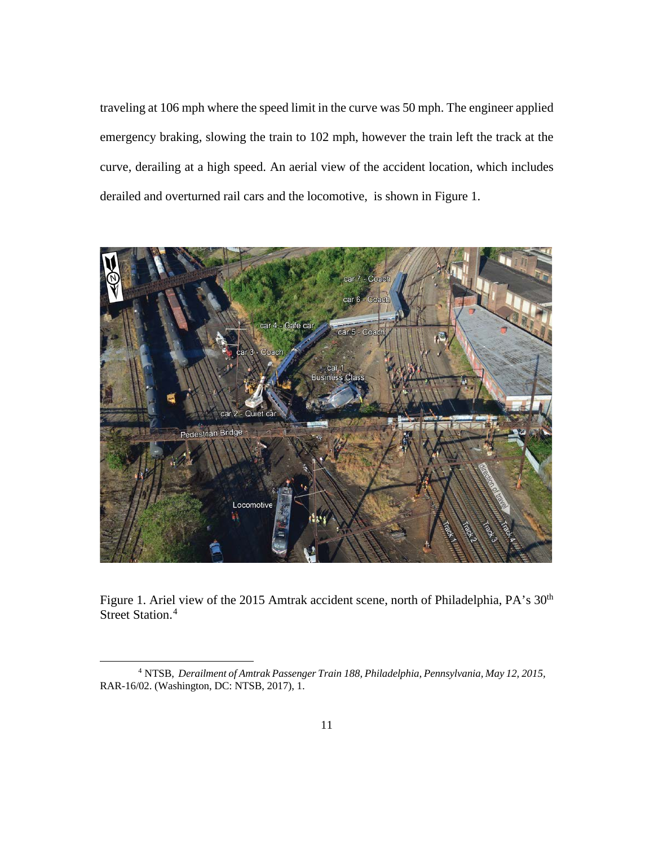traveling at 106 mph where the speed limit in the curve was 50 mph. The engineer applied emergency braking, slowing the train to 102 mph, however the train left the track at the curve, derailing at a high speed. An aerial view of the accident location, which includes derailed and overturned rail cars and the locomotive, is shown in Figure 1.



Figure 1. Ariel view of the 2015 Amtrak accident scene, north of Philadelphia, PA's 30<sup>th</sup> Street Station. [4](#page-18-0)

<span id="page-18-0"></span><sup>4</sup> NTSB, *Derailment of Amtrak Passenger Train 188, Philadelphia, Pennsylvania, May 12, 2015,*  RAR-16/02. (Washington, DC: NTSB, 2017), 1.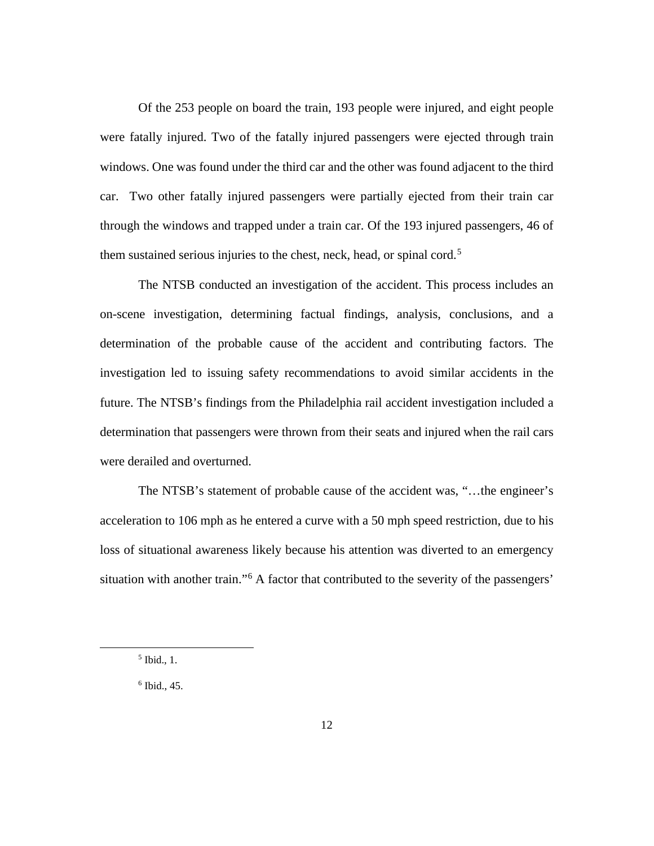Of the 253 people on board the train, 193 people were injured, and eight people were fatally injured. Two of the fatally injured passengers were ejected through train windows. One was found under the third car and the other was found adjacent to the third car. Two other fatally injured passengers were partially ejected from their train car through the windows and trapped under a train car. Of the 193 injured passengers, 46 of them sustained serious injuries to the chest, neck, head, or spinal cord.<sup>[5](#page-19-0)</sup>

The NTSB conducted an investigation of the accident. This process includes an on-scene investigation, determining factual findings, analysis, conclusions, and a determination of the probable cause of the accident and contributing factors. The investigation led to issuing safety recommendations to avoid similar accidents in the future. The NTSB's findings from the Philadelphia rail accident investigation included a determination that passengers were thrown from their seats and injured when the rail cars were derailed and overturned.

The NTSB's statement of probable cause of the accident was, "…the engineer's acceleration to 106 mph as he entered a curve with a 50 mph speed restriction, due to his loss of situational awareness likely because his attention was diverted to an emergency situation with another train."[6](#page-19-1) A factor that contributed to the severity of the passengers'

<span id="page-19-0"></span><sup>5</sup> Ibid., 1.

<span id="page-19-1"></span> $6$  Ibid., 45.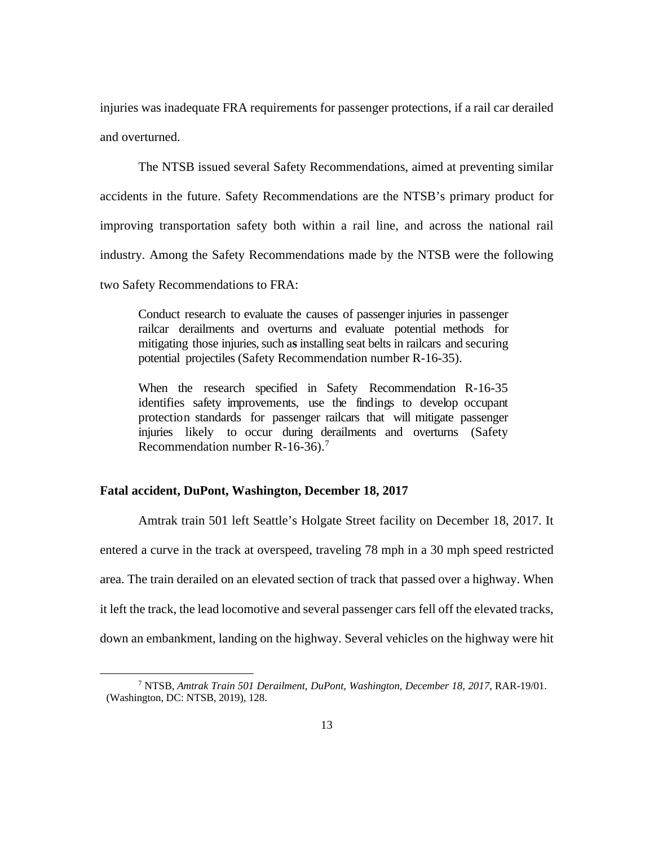injuries was inadequate FRA requirements for passenger protections, if a rail car derailed and overturned.

The NTSB issued several Safety Recommendations, aimed at preventing similar accidents in the future. Safety Recommendations are the NTSB's primary product for improving transportation safety both within a rail line, and across the national rail industry. Among the Safety Recommendations made by the NTSB were the following two Safety Recommendations to FRA:

Conduct research to evaluate the causes of passenger injuries in passenger railcar derailments and overturns and evaluate potential methods for mitigating those injuries, such as installing seat belts in railcars and securing potential projectiles (Safety Recommendation number R-16-35).

When the research specified in Safety Recommendation R-16-35 identifies safety improvements, use the findings to develop occupant protection standards for passenger railcars that will mitigate passenger injuries likely to occur during derailments and overturns (Safety Recommendation number R-16-36). [7](#page-20-0)

## **Fatal accident, DuPont, Washington, December 18, 2017**

Amtrak train 501 left Seattle's Holgate Street facility on December 18, 2017. It entered a curve in the track at overspeed, traveling 78 mph in a 30 mph speed restricted area. The train derailed on an elevated section of track that passed over a highway. When it left the track, the lead locomotive and several passenger cars fell off the elevated tracks, down an embankment, landing on the highway. Several vehicles on the highway were hit

<span id="page-20-0"></span><sup>7</sup> NTSB, *Amtrak Train 501 Derailment, DuPont, Washington, December 18, 2017*, RAR-19/01. (Washington, DC: NTSB, 2019), 128.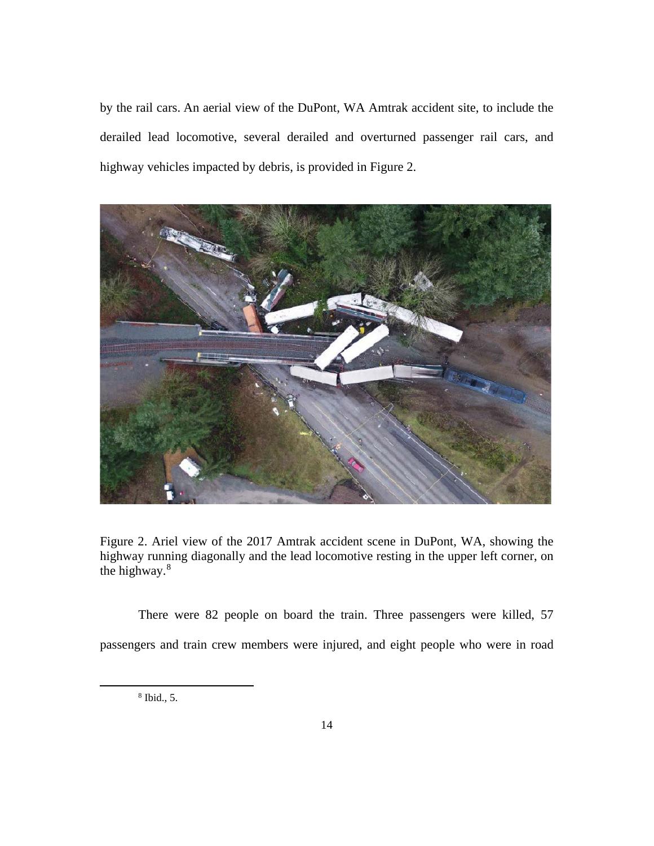by the rail cars. An aerial view of the DuPont, WA Amtrak accident site, to include the derailed lead locomotive, several derailed and overturned passenger rail cars, and highway vehicles impacted by debris, is provided in Figure 2.



Figure 2. Ariel view of the 2017 Amtrak accident scene in DuPont, WA, showing the highway running diagonally and the lead locomotive resting in the upper left corner, on the highway.[8](#page-21-0)

<span id="page-21-0"></span>There were 82 people on board the train. Three passengers were killed, 57 passengers and train crew members were injured, and eight people who were in road

<sup>8</sup> Ibid., 5.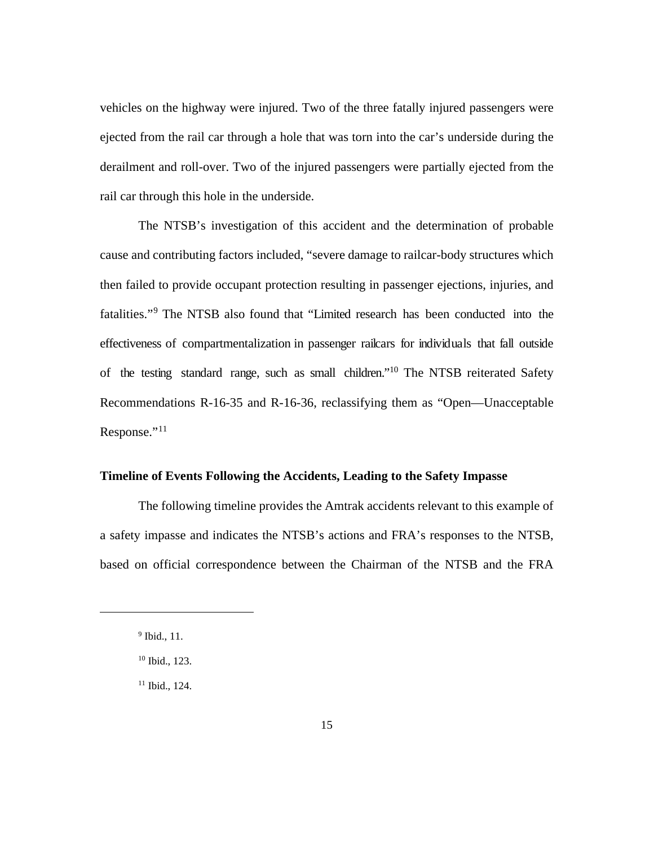vehicles on the highway were injured. Two of the three fatally injured passengers were ejected from the rail car through a hole that was torn into the car's underside during the derailment and roll-over. Two of the injured passengers were partially ejected from the rail car through this hole in the underside.

The NTSB's investigation of this accident and the determination of probable cause and contributing factors included, "severe damage to railcar-body structures which then failed to provide occupant protection resulting in passenger ejections, injuries, and fatalities."[9](#page-22-0) The NTSB also found that "Limited research has been conducted into the effectiveness of compartmentalization in passenger railcars for individuals that fall outside of the testing standard range, such as small children.["10](#page-22-1) The NTSB reiterated Safety Recommendations R-16-35 and R-16-36, reclassifying them as "Open—Unacceptable Response."[11](#page-22-2)

## **Timeline of Events Following the Accidents, Leading to the Safety Impasse**

The following timeline provides the Amtrak accidents relevant to this example of a safety impasse and indicates the NTSB's actions and FRA's responses to the NTSB, based on official correspondence between the Chairman of the NTSB and the FRA

<span id="page-22-0"></span><sup>&</sup>lt;sup>9</sup> Ibid., 11.

<span id="page-22-1"></span><sup>10</sup> Ibid., 123.

<span id="page-22-2"></span><sup>&</sup>lt;sup>11</sup> Ibid., 124.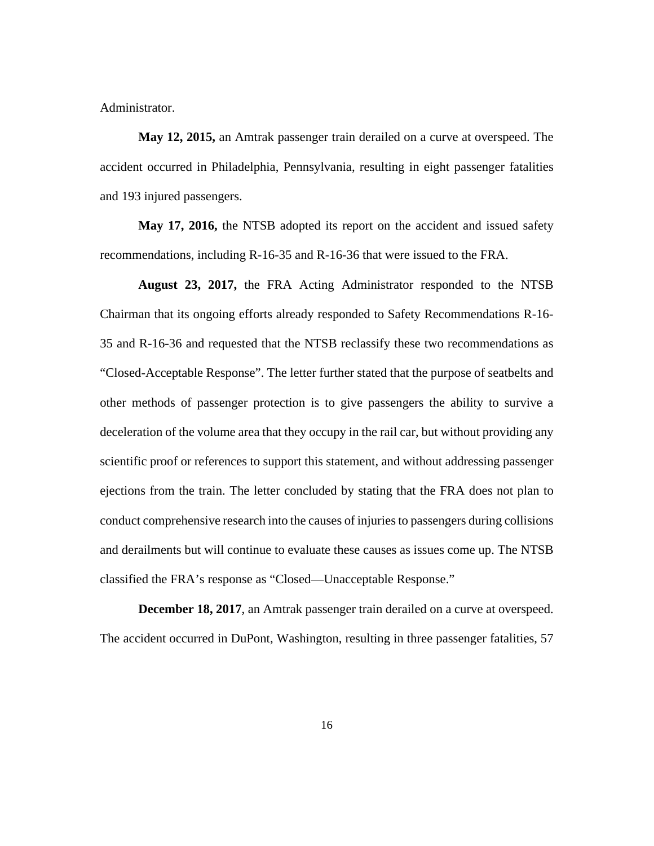Administrator.

**May 12, 2015,** an Amtrak passenger train derailed on a curve at overspeed. The accident occurred in Philadelphia, Pennsylvania, resulting in eight passenger fatalities and 193 injured passengers.

**May 17, 2016,** the NTSB adopted its report on the accident and issued safety recommendations, including R-16-35 and R-16-36 that were issued to the FRA.

**August 23, 2017,** the FRA Acting Administrator responded to the NTSB Chairman that its ongoing efforts already responded to Safety Recommendations R-16- 35 and R-16-36 and requested that the NTSB reclassify these two recommendations as "Closed-Acceptable Response". The letter further stated that the purpose of seatbelts and other methods of passenger protection is to give passengers the ability to survive a deceleration of the volume area that they occupy in the rail car, but without providing any scientific proof or references to support this statement, and without addressing passenger ejections from the train. The letter concluded by stating that the FRA does not plan to conduct comprehensive research into the causes of injuries to passengers during collisions and derailments but will continue to evaluate these causes as issues come up. The NTSB classified the FRA's response as "Closed—Unacceptable Response."

**December 18, 2017**, an Amtrak passenger train derailed on a curve at overspeed. The accident occurred in DuPont, Washington, resulting in three passenger fatalities, 57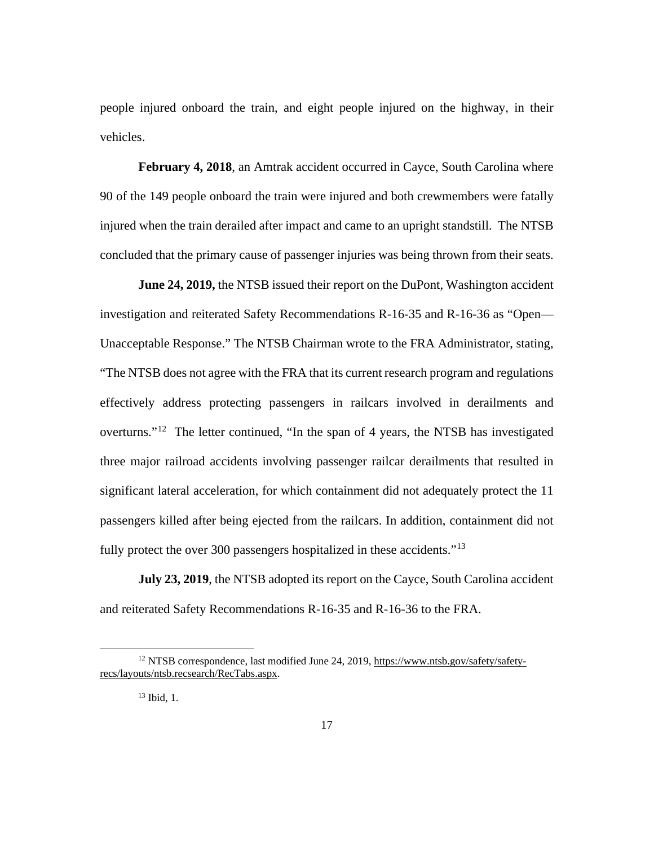people injured onboard the train, and eight people injured on the highway, in their vehicles.

**February 4, 2018**, an Amtrak accident occurred in Cayce, South Carolina where 90 of the 149 people onboard the train were injured and both crewmembers were fatally injured when the train derailed after impact and came to an upright standstill. The NTSB concluded that the primary cause of passenger injuries was being thrown from their seats.

**June 24, 2019,** the NTSB issued their report on the DuPont, Washington accident investigation and reiterated Safety Recommendations R-16-35 and R-16-36 as "Open— Unacceptable Response." The NTSB Chairman wrote to the FRA Administrator, stating, "The NTSB does not agree with the FRA that its current research program and regulations effectively address protecting passengers in railcars involved in derailments and overturns."[12](#page-24-0) The letter continued, "In the span of 4 years, the NTSB has investigated three major railroad accidents involving passenger railcar derailments that resulted in significant lateral acceleration, for which containment did not adequately protect the 11 passengers killed after being ejected from the railcars. In addition, containment did not fully protect the over 300 passengers hospitalized in these accidents."<sup>[13](#page-24-1)</sup>

**July 23, 2019**, the NTSB adopted its report on the Cayce, South Carolina accident and reiterated Safety Recommendations R-16-35 and R-16-36 to the FRA.

<span id="page-24-1"></span><span id="page-24-0"></span><sup>12</sup> NTSB correspondence, last modified June 24, 2019, [https://www.ntsb.gov/safety/safety](https://www.ntsb.gov/safety/safety-recs/layouts/ntsb.recsearch/RecTabs.aspx)[recs/layouts/ntsb.recsearch/RecTabs.aspx.](https://www.ntsb.gov/safety/safety-recs/layouts/ntsb.recsearch/RecTabs.aspx)

<sup>13</sup> Ibid, 1.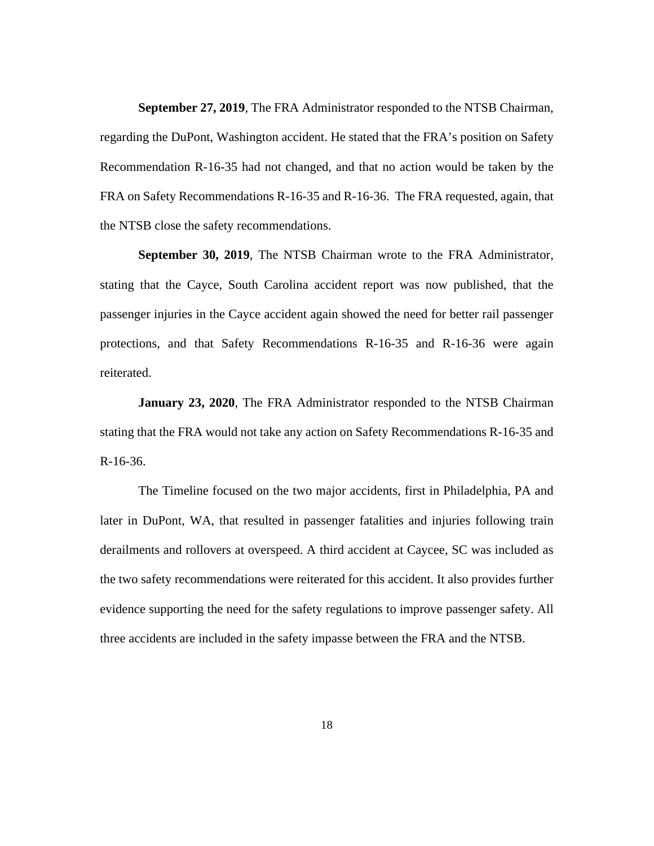**September 27, 2019**, The FRA Administrator responded to the NTSB Chairman, regarding the DuPont, Washington accident. He stated that the FRA's position on Safety Recommendation R-16-35 had not changed, and that no action would be taken by the FRA on Safety Recommendations R-16-35 and R-16-36. The FRA requested, again, that the NTSB close the safety recommendations.

**September 30, 2019**, The NTSB Chairman wrote to the FRA Administrator, stating that the Cayce, South Carolina accident report was now published, that the passenger injuries in the Cayce accident again showed the need for better rail passenger protections, and that Safety Recommendations R-16-35 and R-16-36 were again reiterated.

**January 23, 2020**, The FRA Administrator responded to the NTSB Chairman stating that the FRA would not take any action on Safety Recommendations R-16-35 and R-16-36.

The Timeline focused on the two major accidents, first in Philadelphia, PA and later in DuPont, WA, that resulted in passenger fatalities and injuries following train derailments and rollovers at overspeed. A third accident at Caycee, SC was included as the two safety recommendations were reiterated for this accident. It also provides further evidence supporting the need for the safety regulations to improve passenger safety. All three accidents are included in the safety impasse between the FRA and the NTSB.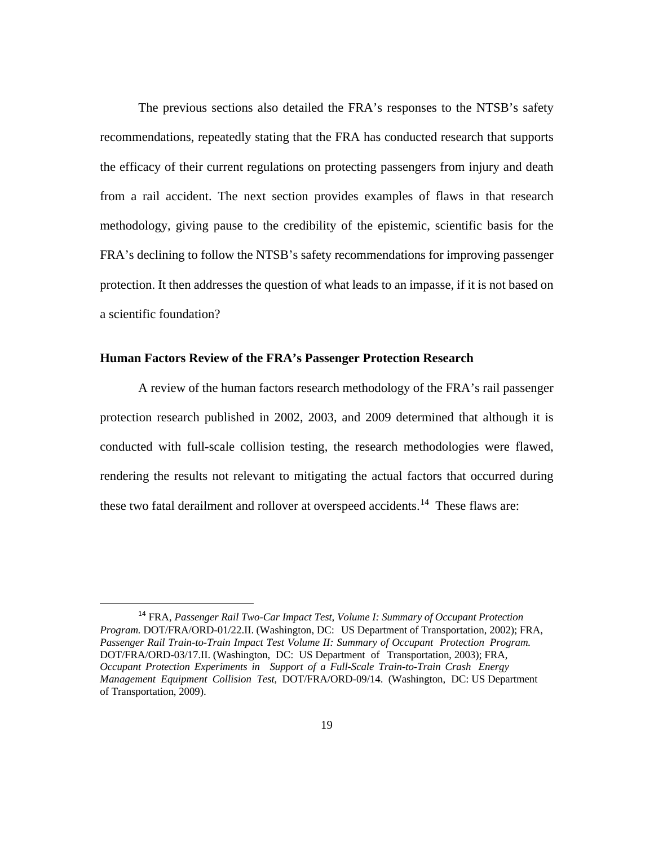The previous sections also detailed the FRA's responses to the NTSB's safety recommendations, repeatedly stating that the FRA has conducted research that supports the efficacy of their current regulations on protecting passengers from injury and death from a rail accident. The next section provides examples of flaws in that research methodology, giving pause to the credibility of the epistemic, scientific basis for the FRA's declining to follow the NTSB's safety recommendations for improving passenger protection. It then addresses the question of what leads to an impasse, if it is not based on a scientific foundation?

## **Human Factors Review of the FRA's Passenger Protection Research**

A review of the human factors research methodology of the FRA's rail passenger protection research published in 2002, 2003, and 2009 determined that although it is conducted with full-scale collision testing, the research methodologies were flawed, rendering the results not relevant to mitigating the actual factors that occurred during these two fatal derailment and rollover at overspeed accidents.<sup>14</sup> These flaws are:

<span id="page-26-0"></span><sup>14</sup> FRA, *Passenger Rail Two-Car Impact Test, Volume I: Summary of Occupant Protection Program.* DOT/FRA/ORD-01/22.II. (Washington, DC: US Department of Transportation, 2002); FRA, *Passenger Rail Train-to-Train Impact Test Volume II: Summary of Occupant Protection Program.* DOT/FRA/ORD-03/17.II. (Washington, DC: US Department of Transportation, 2003); FRA, *Occupant Protection Experiments in Support of a Full-Scale Train-to-Train Crash Energy Management Equipment Collision Test*, DOT/FRA/ORD-09/14. (Washington, DC: US Department of Transportation, 2009).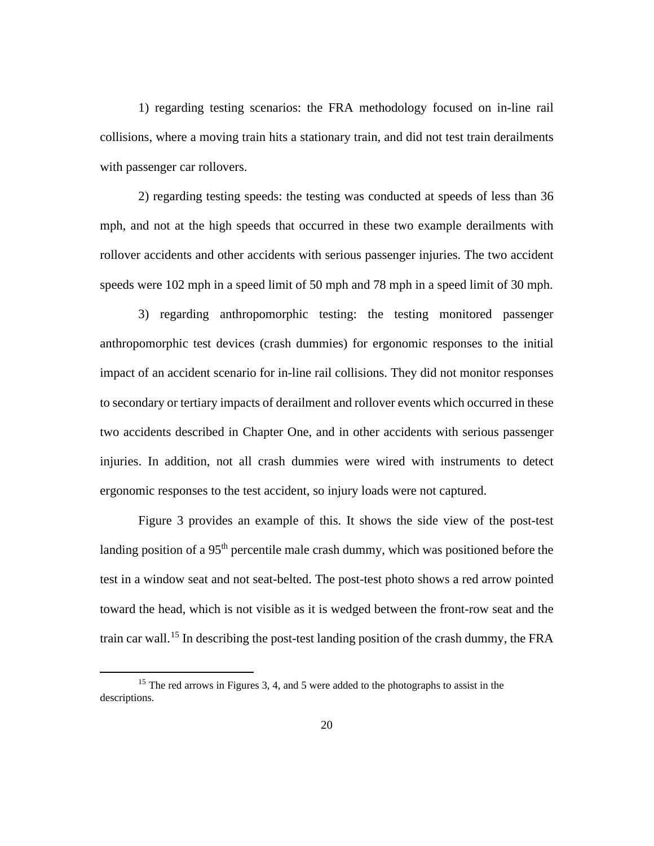1) regarding testing scenarios: the FRA methodology focused on in-line rail collisions, where a moving train hits a stationary train, and did not test train derailments with passenger car rollovers.

2) regarding testing speeds: the testing was conducted at speeds of less than 36 mph, and not at the high speeds that occurred in these two example derailments with rollover accidents and other accidents with serious passenger injuries. The two accident speeds were 102 mph in a speed limit of 50 mph and 78 mph in a speed limit of 30 mph.

3) regarding anthropomorphic testing: the testing monitored passenger anthropomorphic test devices (crash dummies) for ergonomic responses to the initial impact of an accident scenario for in-line rail collisions. They did not monitor responses to secondary or tertiary impacts of derailment and rollover events which occurred in these two accidents described in Chapter One, and in other accidents with serious passenger injuries. In addition, not all crash dummies were wired with instruments to detect ergonomic responses to the test accident, so injury loads were not captured.

Figure 3 provides an example of this. It shows the side view of the post-test landing position of a 95<sup>th</sup> percentile male crash dummy, which was positioned before the test in a window seat and not seat-belted. The post-test photo shows a red arrow pointed toward the head, which is not visible as it is wedged between the front-row seat and the train car wall. [15](#page-27-0) In describing the post-test landing position of the crash dummy, the FRA

<span id="page-27-0"></span><sup>&</sup>lt;sup>15</sup> The red arrows in Figures 3, 4, and 5 were added to the photographs to assist in the descriptions.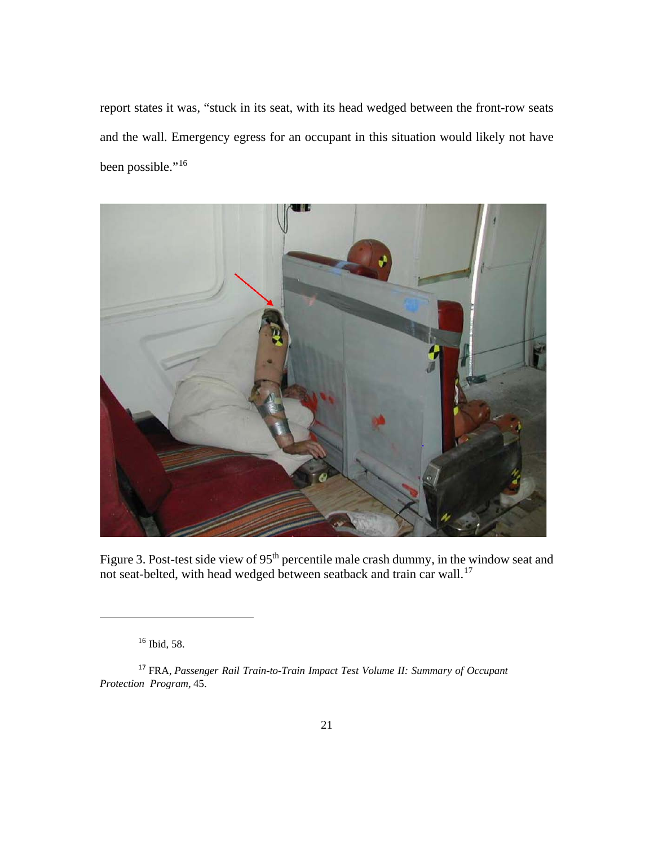report states it was, "stuck in its seat, with its head wedged between the front-row seats and the wall. Emergency egress for an occupant in this situation would likely not have been possible."<sup>[16](#page-28-0)</sup>



Figure 3. Post-test side view of 95<sup>th</sup> percentile male crash dummy, in the window seat and not seat-belted, with head wedged between seatback and train car wall.<sup>[17](#page-28-1)</sup>

<sup>16</sup> Ibid, 58.

<span id="page-28-1"></span><span id="page-28-0"></span><sup>17</sup> FRA, *Passenger Rail Train-to-Train Impact Test Volume II: Summary of Occupant Protection Program,* 45.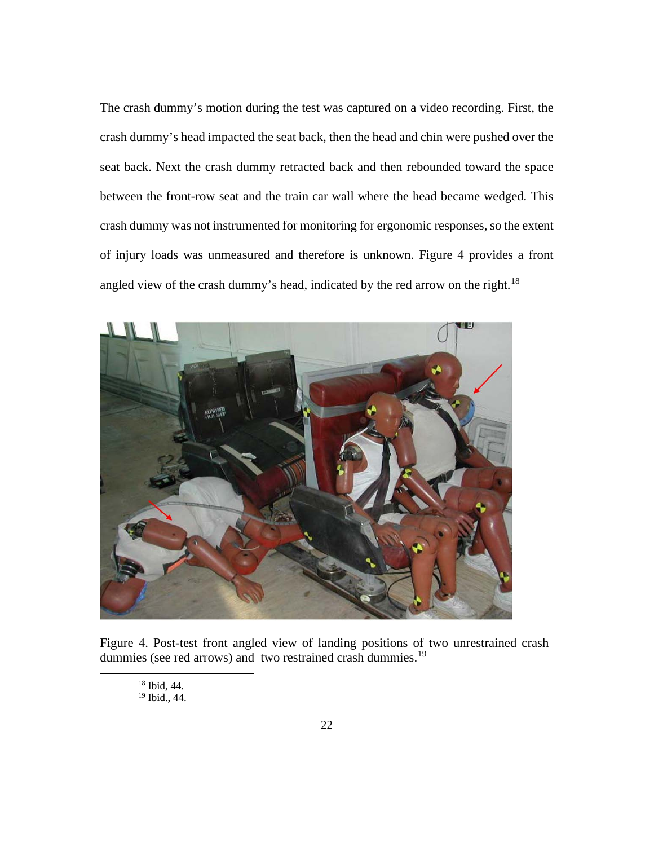The crash dummy's motion during the test was captured on a video recording. First, the crash dummy's head impacted the seat back, then the head and chin were pushed over the seat back. Next the crash dummy retracted back and then rebounded toward the space between the front-row seat and the train car wall where the head became wedged. This crash dummy was not instrumented for monitoring for ergonomic responses, so the extent of injury loads was unmeasured and therefore is unknown. Figure 4 provides a front angled view of the crash dummy's head, indicated by the red arrow on the right.<sup>[18](#page-29-0)</sup>



<span id="page-29-1"></span><span id="page-29-0"></span>Figure 4. Post-test front angled view of landing positions of two unrestrained crash dummies (see red arrows) and two restrained crash dummies.<sup>[19](#page-29-1)</sup>

<sup>18</sup> Ibid, 44.

<sup>19</sup> Ibid., 44.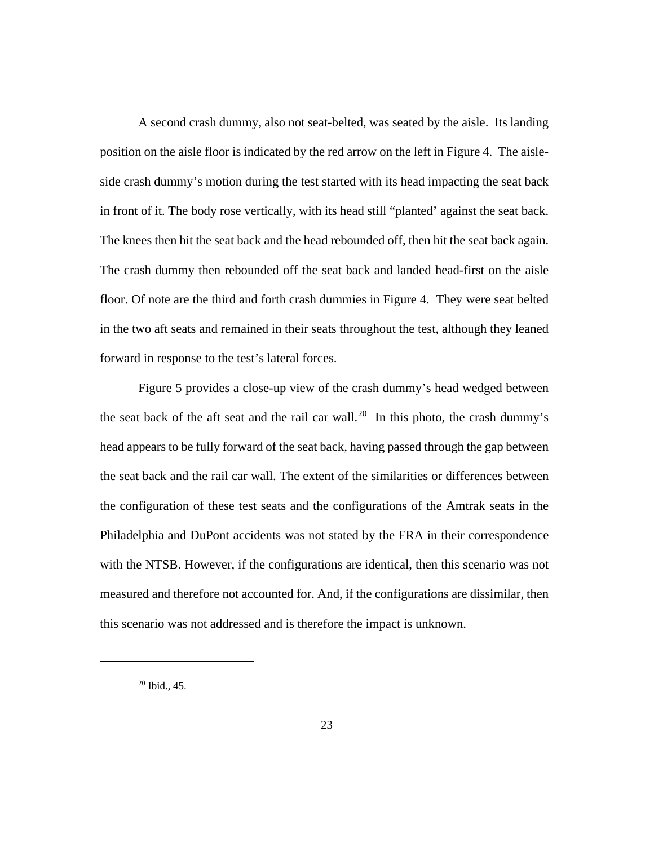A second crash dummy, also not seat-belted, was seated by the aisle. Its landing position on the aisle floor is indicated by the red arrow on the left in Figure 4. The aisleside crash dummy's motion during the test started with its head impacting the seat back in front of it. The body rose vertically, with its head still "planted' against the seat back. The knees then hit the seat back and the head rebounded off, then hit the seat back again. The crash dummy then rebounded off the seat back and landed head-first on the aisle floor. Of note are the third and forth crash dummies in Figure 4. They were seat belted in the two aft seats and remained in their seats throughout the test, although they leaned forward in response to the test's lateral forces.

Figure 5 provides a close-up view of the crash dummy's head wedged between the seat back of the aft seat and the rail car wall.<sup>[20](#page-30-0)</sup> In this photo, the crash dummy's head appears to be fully forward of the seat back, having passed through the gap between the seat back and the rail car wall. The extent of the similarities or differences between the configuration of these test seats and the configurations of the Amtrak seats in the Philadelphia and DuPont accidents was not stated by the FRA in their correspondence with the NTSB. However, if the configurations are identical, then this scenario was not measured and therefore not accounted for. And, if the configurations are dissimilar, then this scenario was not addressed and is therefore the impact is unknown.

<span id="page-30-0"></span> $20$  Ibid., 45.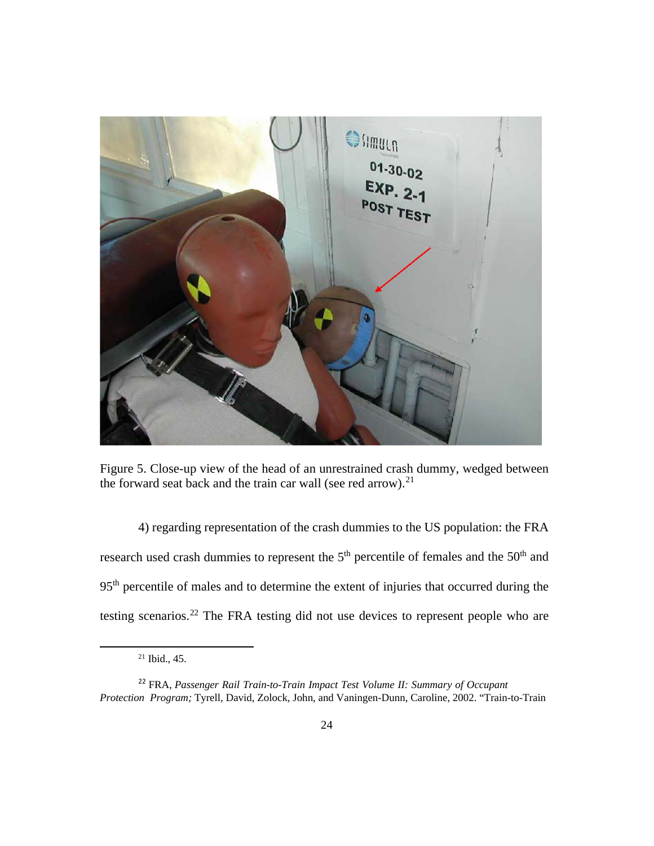

Figure 5. Close-up view of the head of an unrestrained crash dummy, wedged between the forward seat back and the train car wall (see red arrow). $21$ 

4) regarding representation of the crash dummies to the US population: the FRA research used crash dummies to represent the  $5<sup>th</sup>$  percentile of females and the  $50<sup>th</sup>$  and 95th percentile of males and to determine the extent of injuries that occurred during the testing scenarios.[22](#page-31-1) The FRA testing did not use devices to represent people who are

<sup>21</sup> Ibid., 45.

<span id="page-31-1"></span><span id="page-31-0"></span><sup>22</sup> FRA, *Passenger Rail Train-to-Train Impact Test Volume II: Summary of Occupant Protection Program;* Tyrell, David, Zolock, John, and Vaningen-Dunn, Caroline, 2002. "Train-to-Train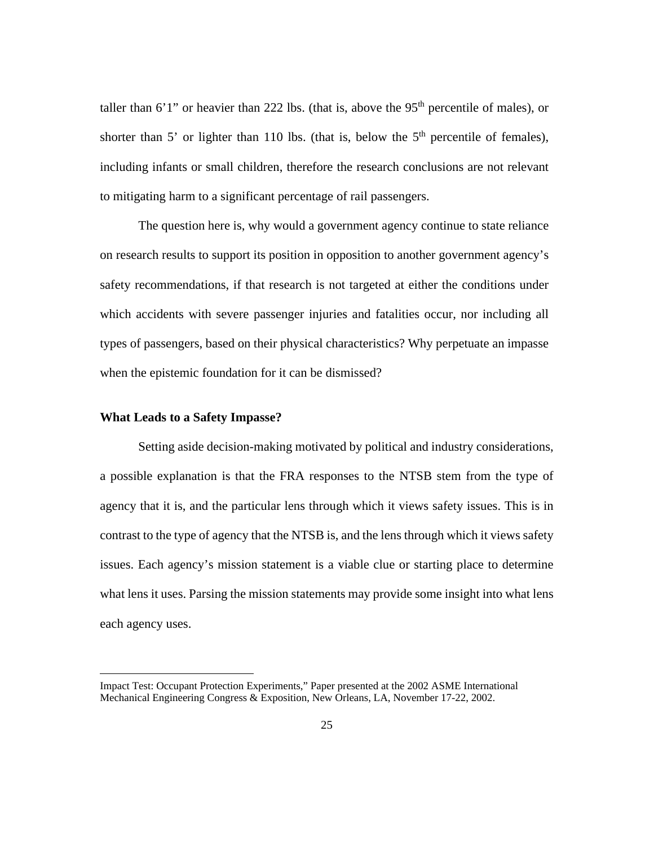taller than 6'1" or heavier than 222 lbs. (that is, above the  $95<sup>th</sup>$  percentile of males), or shorter than 5' or lighter than 110 lbs. (that is, below the  $5<sup>th</sup>$  percentile of females), including infants or small children, therefore the research conclusions are not relevant to mitigating harm to a significant percentage of rail passengers.

The question here is, why would a government agency continue to state reliance on research results to support its position in opposition to another government agency's safety recommendations, if that research is not targeted at either the conditions under which accidents with severe passenger injuries and fatalities occur, nor including all types of passengers, based on their physical characteristics? Why perpetuate an impasse when the epistemic foundation for it can be dismissed?

### **What Leads to a Safety Impasse?**

Setting aside decision-making motivated by political and industry considerations, a possible explanation is that the FRA responses to the NTSB stem from the type of agency that it is, and the particular lens through which it views safety issues. This is in contrast to the type of agency that the NTSB is, and the lens through which it views safety issues. Each agency's mission statement is a viable clue or starting place to determine what lens it uses. Parsing the mission statements may provide some insight into what lens each agency uses.

Impact Test: Occupant Protection Experiments," Paper presented at the 2002 ASME International Mechanical Engineering Congress & Exposition, New Orleans, LA, November 17-22, 2002.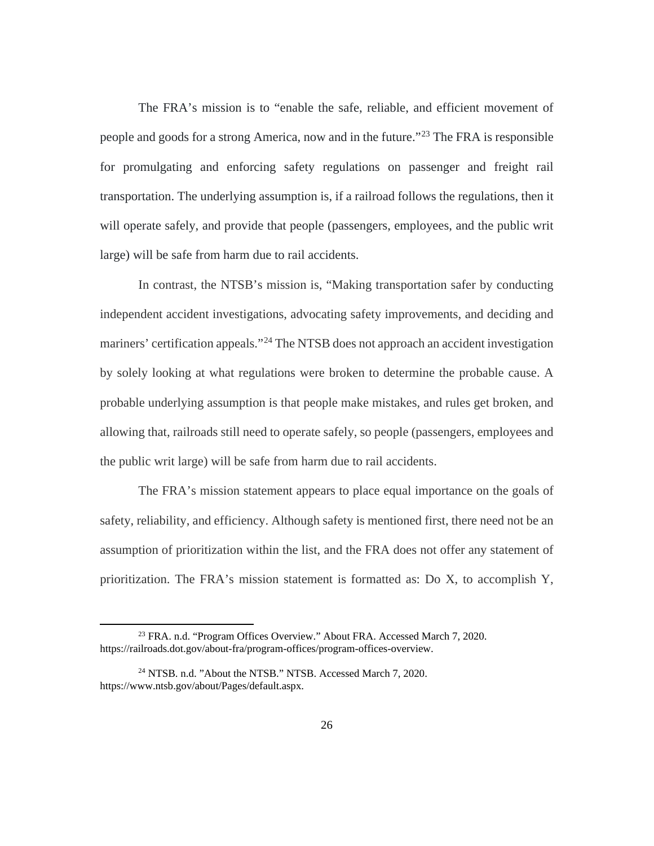The FRA's mission is to "enable the safe, reliable, and efficient movement of people and goods for a strong America, now and in the future."<sup>[23](#page-33-0)</sup> The FRA is responsible for promulgating and enforcing safety regulations on passenger and freight rail transportation. The underlying assumption is, if a railroad follows the regulations, then it will operate safely, and provide that people (passengers, employees, and the public writ large) will be safe from harm due to rail accidents.

In contrast, the NTSB's mission is, "Making transportation safer by conducting independent accident investigations, advocating safety improvements, and deciding and mariners' certification appeals."<sup>[24](#page-33-1)</sup> The NTSB does not approach an accident investigation by solely looking at what regulations were broken to determine the probable cause. A probable underlying assumption is that people make mistakes, and rules get broken, and allowing that, railroads still need to operate safely, so people (passengers, employees and the public writ large) will be safe from harm due to rail accidents.

The FRA's mission statement appears to place equal importance on the goals of safety, reliability, and efficiency. Although safety is mentioned first, there need not be an assumption of prioritization within the list, and the FRA does not offer any statement of prioritization. The FRA's mission statement is formatted as: Do X, to accomplish Y,

<span id="page-33-0"></span><sup>23</sup> FRA. n.d. "Program Offices Overview." About FRA. Accessed March 7, 2020. [https://railroads.dot.gov/about-fra/program-offices/program-offices-overview.](https://railroads.dot.gov/about-fra/program-offices/program-offices-overview)

<span id="page-33-1"></span><sup>24</sup> NTSB. n.d. "About the NTSB." NTSB. Accessed March 7, 2020. [https://www.ntsb.gov/about/Pages/default.aspx.](https://www.ntsb.gov/about/Pages/default.aspx)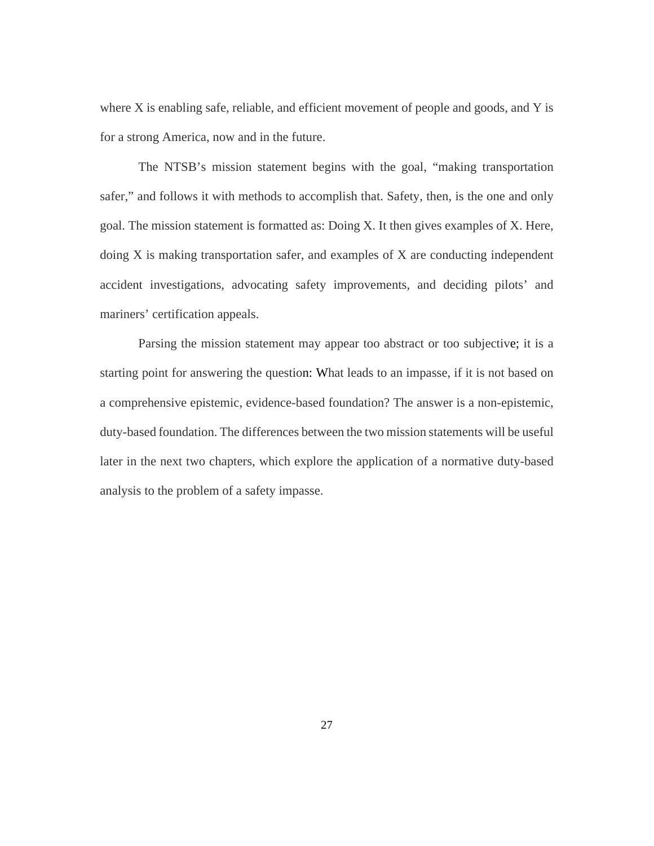where  $X$  is enabling safe, reliable, and efficient movement of people and goods, and  $Y$  is for a strong America, now and in the future.

The NTSB's mission statement begins with the goal, "making transportation safer," and follows it with methods to accomplish that. Safety, then, is the one and only goal. The mission statement is formatted as: Doing X. It then gives examples of X. Here, doing X is making transportation safer, and examples of X are conducting independent accident investigations, advocating safety improvements, and deciding pilots' and mariners' certification appeals.

Parsing the mission statement may appear too abstract or too subjective; it is a starting point for answering the question: What leads to an impasse, if it is not based on a comprehensive epistemic, evidence-based foundation? The answer is a non-epistemic, duty-based foundation. The differences between the two mission statements will be useful later in the next two chapters, which explore the application of a normative duty-based analysis to the problem of a safety impasse.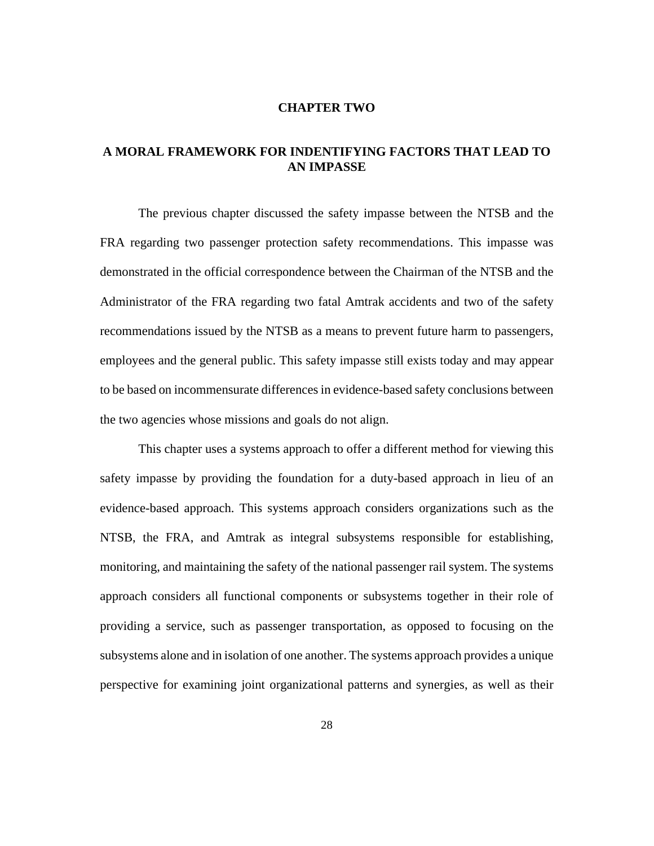#### **CHAPTER TWO**

# **A MORAL FRAMEWORK FOR INDENTIFYING FACTORS THAT LEAD TO AN IMPASSE**

The previous chapter discussed the safety impasse between the NTSB and the FRA regarding two passenger protection safety recommendations. This impasse was demonstrated in the official correspondence between the Chairman of the NTSB and the Administrator of the FRA regarding two fatal Amtrak accidents and two of the safety recommendations issued by the NTSB as a means to prevent future harm to passengers, employees and the general public. This safety impasse still exists today and may appear to be based on incommensurate differences in evidence-based safety conclusions between the two agencies whose missions and goals do not align.

This chapter uses a systems approach to offer a different method for viewing this safety impasse by providing the foundation for a duty-based approach in lieu of an evidence-based approach. This systems approach considers organizations such as the NTSB, the FRA, and Amtrak as integral subsystems responsible for establishing, monitoring, and maintaining the safety of the national passenger rail system. The systems approach considers all functional components or subsystems together in their role of providing a service, such as passenger transportation, as opposed to focusing on the subsystems alone and in isolation of one another. The systems approach provides a unique perspective for examining joint organizational patterns and synergies, as well as their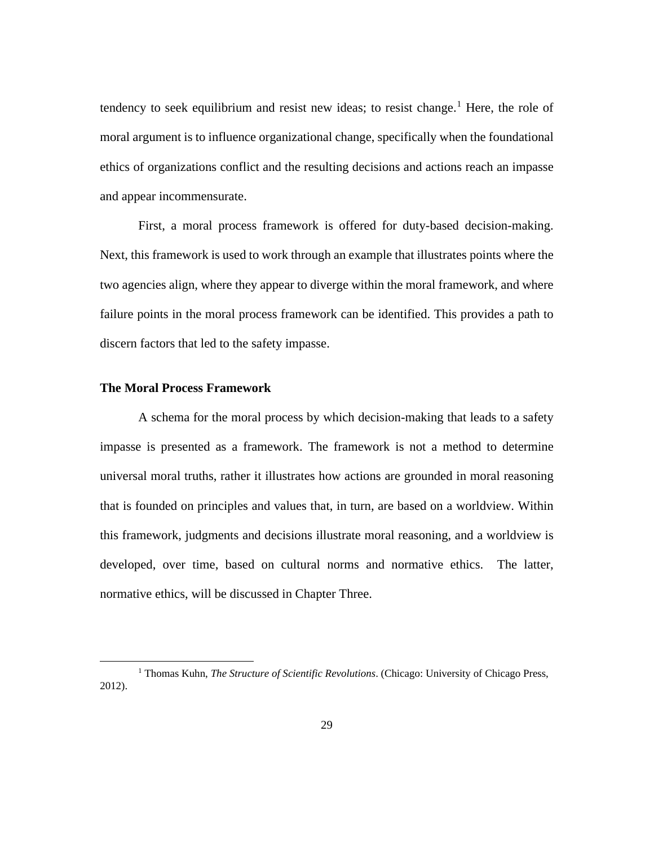tendency to seek equilibrium and resist new ideas; to resist change.<sup>[1](#page-36-0)</sup> Here, the role of moral argument is to influence organizational change, specifically when the foundational ethics of organizations conflict and the resulting decisions and actions reach an impasse and appear incommensurate.

First, a moral process framework is offered for duty-based decision-making. Next, this framework is used to work through an example that illustrates points where the two agencies align, where they appear to diverge within the moral framework, and where failure points in the moral process framework can be identified. This provides a path to discern factors that led to the safety impasse.

# **The Moral Process Framework**

A schema for the moral process by which decision-making that leads to a safety impasse is presented as a framework. The framework is not a method to determine universal moral truths, rather it illustrates how actions are grounded in moral reasoning that is founded on principles and values that, in turn, are based on a worldview. Within this framework, judgments and decisions illustrate moral reasoning, and a worldview is developed, over time, based on cultural norms and normative ethics. The latter, normative ethics, will be discussed in Chapter Three.

<span id="page-36-0"></span><sup>1</sup> Thomas Kuhn, *The Structure of Scientific Revolutions*. (Chicago: University of Chicago Press, 2012).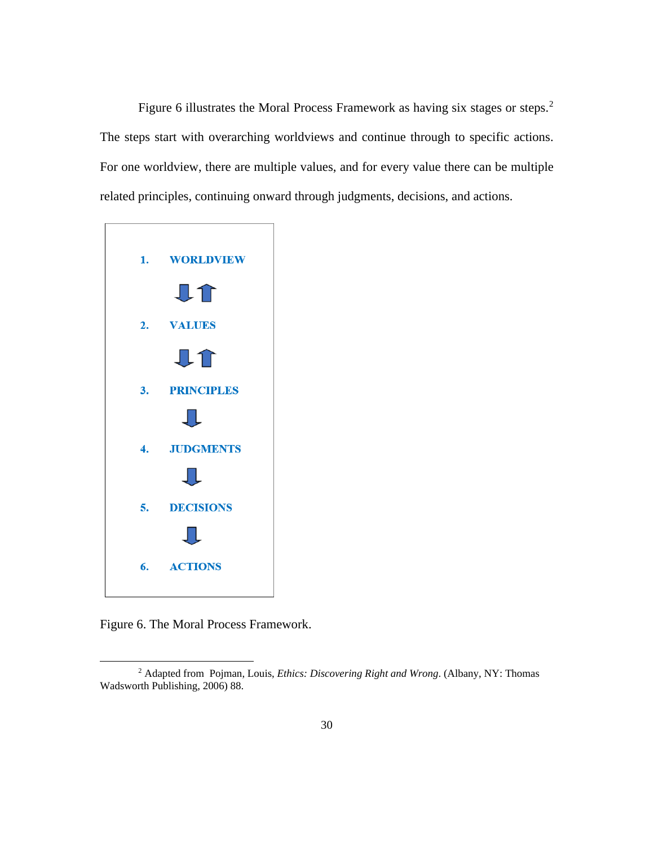Figure 6 illustrates the Moral Process Framework as having six stages or steps.<sup>[2](#page-37-0)</sup> The steps start with overarching worldviews and continue through to specific actions. For one worldview, there are multiple values, and for every value there can be multiple related principles, continuing onward through judgments, decisions, and actions.



Figure 6. The Moral Process Framework.

<span id="page-37-0"></span><sup>2</sup> Adapted from Pojman, Louis, *Ethics: Discovering Right and Wrong*. (Albany, NY: Thomas Wadsworth Publishing, 2006) 88.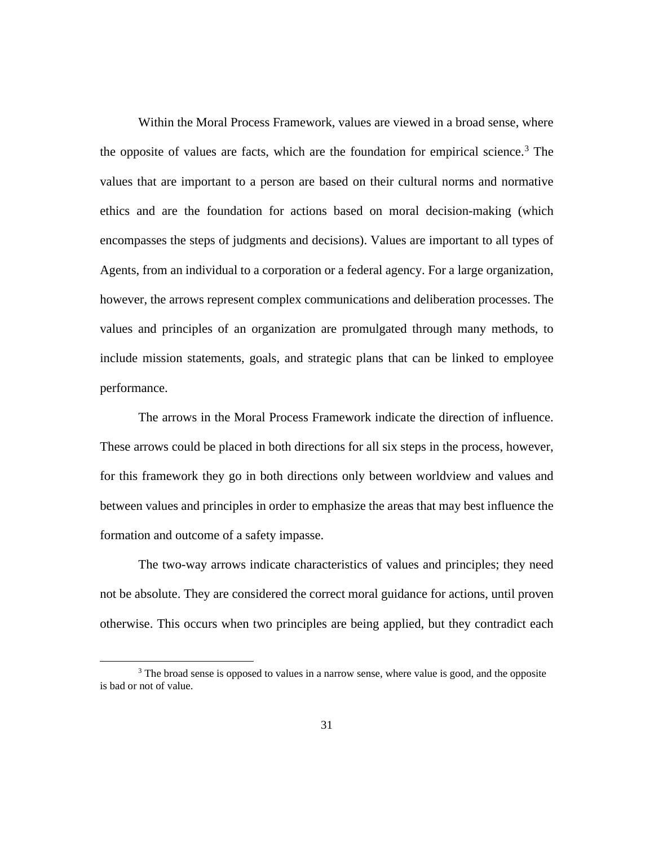Within the Moral Process Framework, values are viewed in a broad sense, where the opposite of values are facts, which are the foundation for empirical science. [3](#page-38-0) The values that are important to a person are based on their cultural norms and normative ethics and are the foundation for actions based on moral decision-making (which encompasses the steps of judgments and decisions). Values are important to all types of Agents, from an individual to a corporation or a federal agency. For a large organization, however, the arrows represent complex communications and deliberation processes. The values and principles of an organization are promulgated through many methods, to include mission statements, goals, and strategic plans that can be linked to employee performance.

The arrows in the Moral Process Framework indicate the direction of influence. These arrows could be placed in both directions for all six steps in the process, however, for this framework they go in both directions only between worldview and values and between values and principles in order to emphasize the areas that may best influence the formation and outcome of a safety impasse.

The two-way arrows indicate characteristics of values and principles; they need not be absolute. They are considered the correct moral guidance for actions, until proven otherwise. This occurs when two principles are being applied, but they contradict each

<span id="page-38-0"></span><sup>&</sup>lt;sup>3</sup> The broad sense is opposed to values in a narrow sense, where value is good, and the opposite is bad or not of value.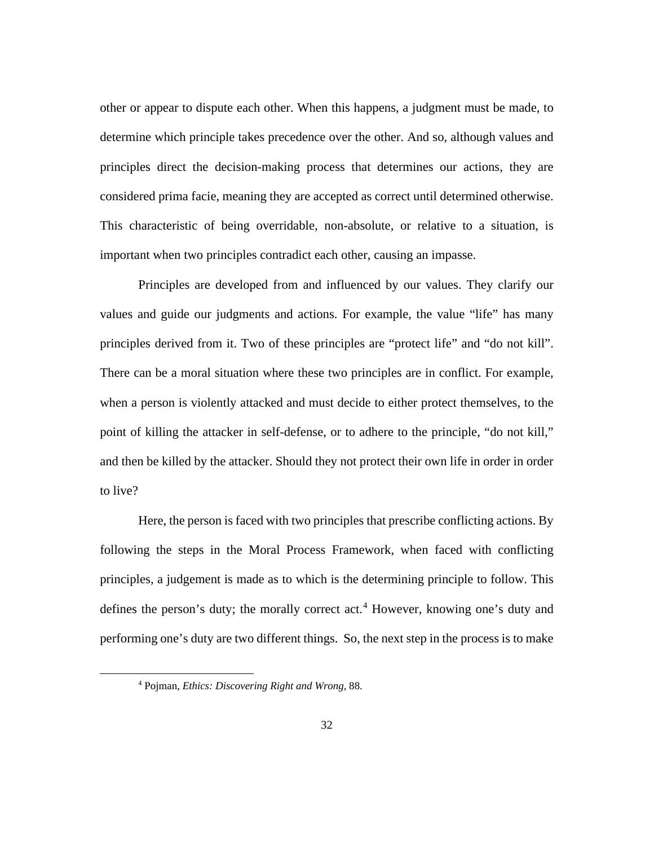other or appear to dispute each other. When this happens, a judgment must be made, to determine which principle takes precedence over the other. And so, although values and principles direct the decision-making process that determines our actions, they are considered prima facie, meaning they are accepted as correct until determined otherwise. This characteristic of being overridable, non-absolute, or relative to a situation, is important when two principles contradict each other, causing an impasse.

Principles are developed from and influenced by our values. They clarify our values and guide our judgments and actions. For example, the value "life" has many principles derived from it. Two of these principles are "protect life" and "do not kill". There can be a moral situation where these two principles are in conflict. For example, when a person is violently attacked and must decide to either protect themselves, to the point of killing the attacker in self-defense, or to adhere to the principle, "do not kill," and then be killed by the attacker. Should they not protect their own life in order in order to live?

Here, the person is faced with two principles that prescribe conflicting actions. By following the steps in the Moral Process Framework, when faced with conflicting principles, a judgement is made as to which is the determining principle to follow. This defines the person's duty; the morally correct act.<sup>[4](#page-39-0)</sup> However, knowing one's duty and performing one's duty are two different things. So, the next step in the process is to make

<span id="page-39-0"></span><sup>4</sup> Pojman, *Ethics: Discovering Right and Wrong,* 88.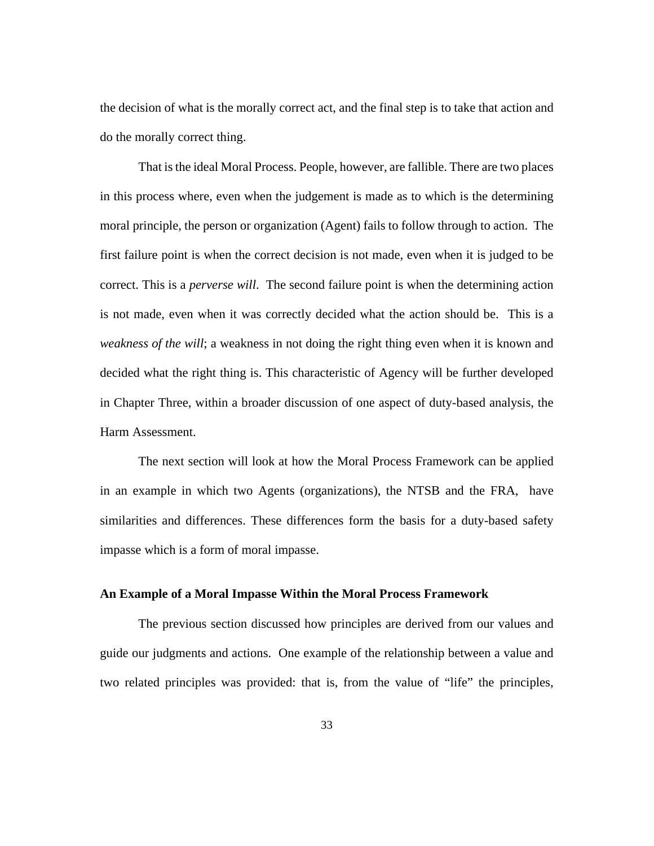the decision of what is the morally correct act, and the final step is to take that action and do the morally correct thing.

That is the ideal Moral Process. People, however, are fallible. There are two places in this process where, even when the judgement is made as to which is the determining moral principle, the person or organization (Agent) fails to follow through to action. The first failure point is when the correct decision is not made, even when it is judged to be correct. This is a *perverse will*. The second failure point is when the determining action is not made, even when it was correctly decided what the action should be. This is a *weakness of the will*; a weakness in not doing the right thing even when it is known and decided what the right thing is. This characteristic of Agency will be further developed in Chapter Three, within a broader discussion of one aspect of duty-based analysis, the Harm Assessment.

The next section will look at how the Moral Process Framework can be applied in an example in which two Agents (organizations), the NTSB and the FRA, have similarities and differences. These differences form the basis for a duty-based safety impasse which is a form of moral impasse.

## **An Example of a Moral Impasse Within the Moral Process Framework**

The previous section discussed how principles are derived from our values and guide our judgments and actions. One example of the relationship between a value and two related principles was provided: that is, from the value of "life" the principles,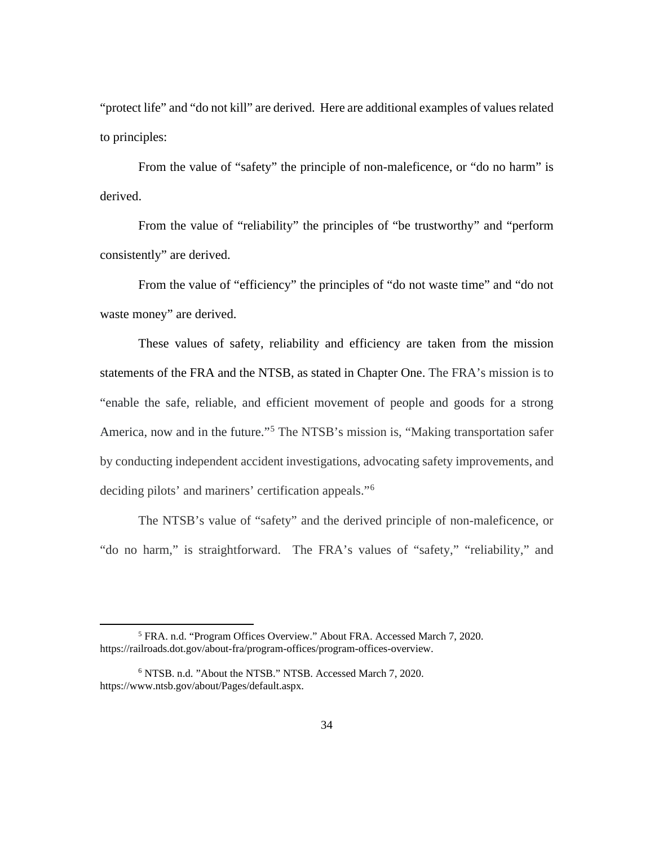"protect life" and "do not kill" are derived. Here are additional examples of values related to principles:

From the value of "safety" the principle of non-maleficence, or "do no harm" is derived.

From the value of "reliability" the principles of "be trustworthy" and "perform consistently" are derived.

From the value of "efficiency" the principles of "do not waste time" and "do not waste money" are derived.

These values of safety, reliability and efficiency are taken from the mission statements of the FRA and the NTSB, as stated in Chapter One. The FRA's mission is to "enable the safe, reliable, and efficient movement of people and goods for a strong America, now and in the future."<sup>[5](#page-41-0)</sup> The NTSB's mission is, "Making transportation safer by conducting independent accident investigations, advocating safety improvements, and deciding pilots' and mariners' certification appeals."[6](#page-41-1)

The NTSB's value of "safety" and the derived principle of non-maleficence, or "do no harm," is straightforward. The FRA's values of "safety," "reliability," and

<span id="page-41-0"></span><sup>5</sup> FRA. n.d. "Program Offices Overview." About FRA. Accessed March 7, 2020. [https://railroads.dot.gov/about-fra/program-offices/program-offices-overview.](https://railroads.dot.gov/about-fra/program-offices/program-offices-overview)

<span id="page-41-1"></span><sup>6</sup> NTSB. n.d. "About the NTSB." NTSB. Accessed March 7, 2020. [https://www.ntsb.gov/about/Pages/default.aspx.](https://www.ntsb.gov/about/Pages/default.aspx)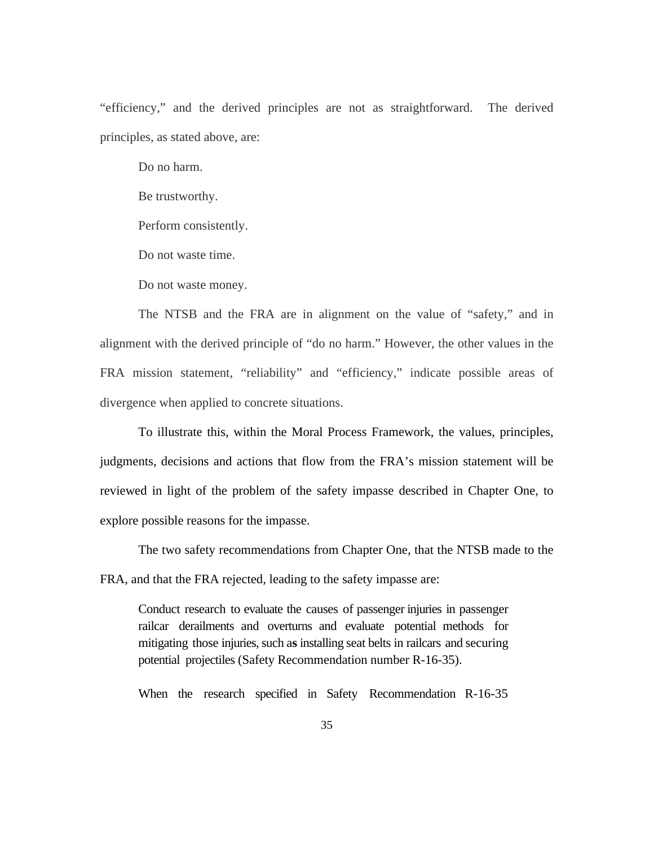"efficiency," and the derived principles are not as straightforward. The derived principles, as stated above, are:

Do no harm.

Be trustworthy.

Perform consistently.

Do not waste time.

Do not waste money.

The NTSB and the FRA are in alignment on the value of "safety," and in alignment with the derived principle of "do no harm." However, the other values in the FRA mission statement, "reliability" and "efficiency," indicate possible areas of divergence when applied to concrete situations.

To illustrate this, within the Moral Process Framework, the values, principles, judgments, decisions and actions that flow from the FRA's mission statement will be reviewed in light of the problem of the safety impasse described in Chapter One, to explore possible reasons for the impasse.

The two safety recommendations from Chapter One, that the NTSB made to the FRA, and that the FRA rejected, leading to the safety impasse are:

Conduct research to evaluate the causes of passenger injuries in passenger railcar derailments and overturns and evaluate potential methods for mitigating those injuries, such as installing seat belts in railcars and securing potential projectiles (Safety Recommendation number R-16-35).

When the research specified in Safety Recommendation R-16-35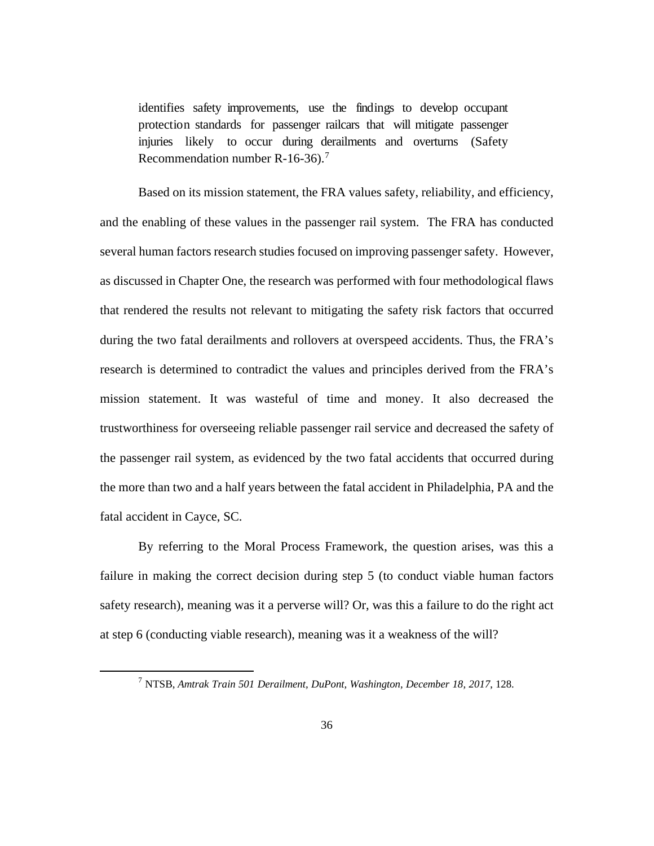identifies safety improvements, use the findings to develop occupant protection standards for passenger railcars that will mitigate passenger injuries likely to occur during derailments and overturns (Safety Recommendation number R-16-36). [7](#page-43-0)

Based on its mission statement, the FRA values safety, reliability, and efficiency, and the enabling of these values in the passenger rail system. The FRA has conducted several human factors research studies focused on improving passenger safety. However, as discussed in Chapter One, the research was performed with four methodological flaws that rendered the results not relevant to mitigating the safety risk factors that occurred during the two fatal derailments and rollovers at overspeed accidents. Thus, the FRA's research is determined to contradict the values and principles derived from the FRA's mission statement. It was wasteful of time and money. It also decreased the trustworthiness for overseeing reliable passenger rail service and decreased the safety of the passenger rail system, as evidenced by the two fatal accidents that occurred during the more than two and a half years between the fatal accident in Philadelphia, PA and the fatal accident in Cayce, SC.

By referring to the Moral Process Framework, the question arises, was this a failure in making the correct decision during step 5 (to conduct viable human factors safety research), meaning was it a perverse will? Or, was this a failure to do the right act at step 6 (conducting viable research), meaning was it a weakness of the will?

<span id="page-43-0"></span><sup>7</sup> NTSB, *Amtrak Train 501 Derailment, DuPont, Washington, December 18, 2017*, 128.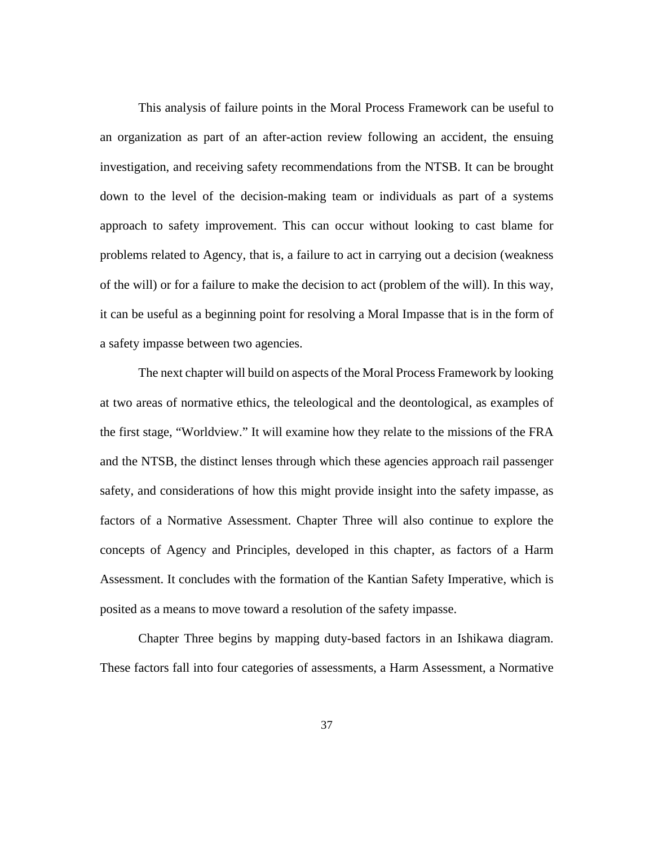This analysis of failure points in the Moral Process Framework can be useful to an organization as part of an after-action review following an accident, the ensuing investigation, and receiving safety recommendations from the NTSB. It can be brought down to the level of the decision-making team or individuals as part of a systems approach to safety improvement. This can occur without looking to cast blame for problems related to Agency, that is, a failure to act in carrying out a decision (weakness of the will) or for a failure to make the decision to act (problem of the will). In this way, it can be useful as a beginning point for resolving a Moral Impasse that is in the form of a safety impasse between two agencies.

The next chapter will build on aspects of the Moral Process Framework by looking at two areas of normative ethics, the teleological and the deontological, as examples of the first stage, "Worldview." It will examine how they relate to the missions of the FRA and the NTSB, the distinct lenses through which these agencies approach rail passenger safety, and considerations of how this might provide insight into the safety impasse, as factors of a Normative Assessment. Chapter Three will also continue to explore the concepts of Agency and Principles, developed in this chapter, as factors of a Harm Assessment. It concludes with the formation of the Kantian Safety Imperative, which is posited as a means to move toward a resolution of the safety impasse.

Chapter Three begins by mapping duty-based factors in an Ishikawa diagram. These factors fall into four categories of assessments, a Harm Assessment, a Normative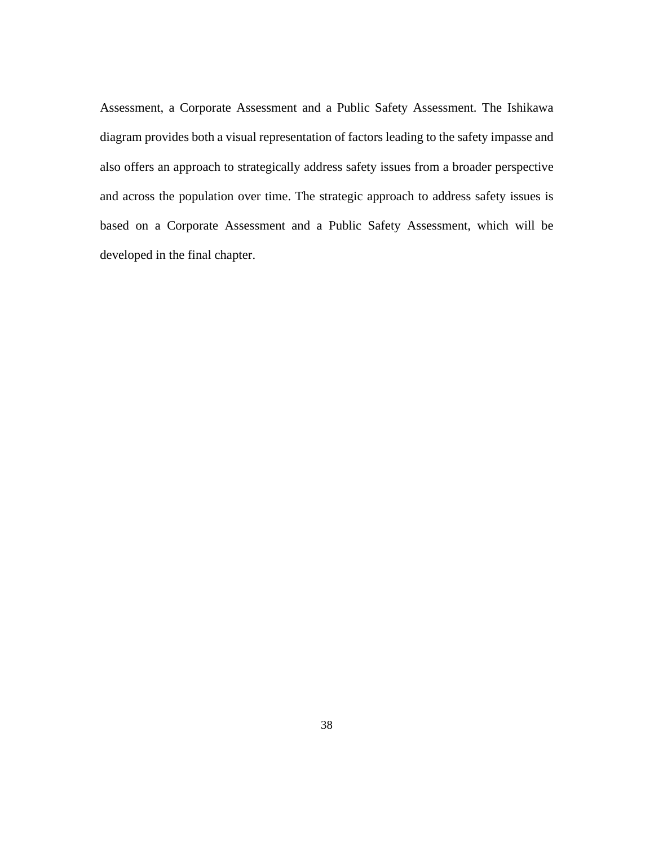Assessment, a Corporate Assessment and a Public Safety Assessment. The Ishikawa diagram provides both a visual representation of factors leading to the safety impasse and also offers an approach to strategically address safety issues from a broader perspective and across the population over time. The strategic approach to address safety issues is based on a Corporate Assessment and a Public Safety Assessment, which will be developed in the final chapter.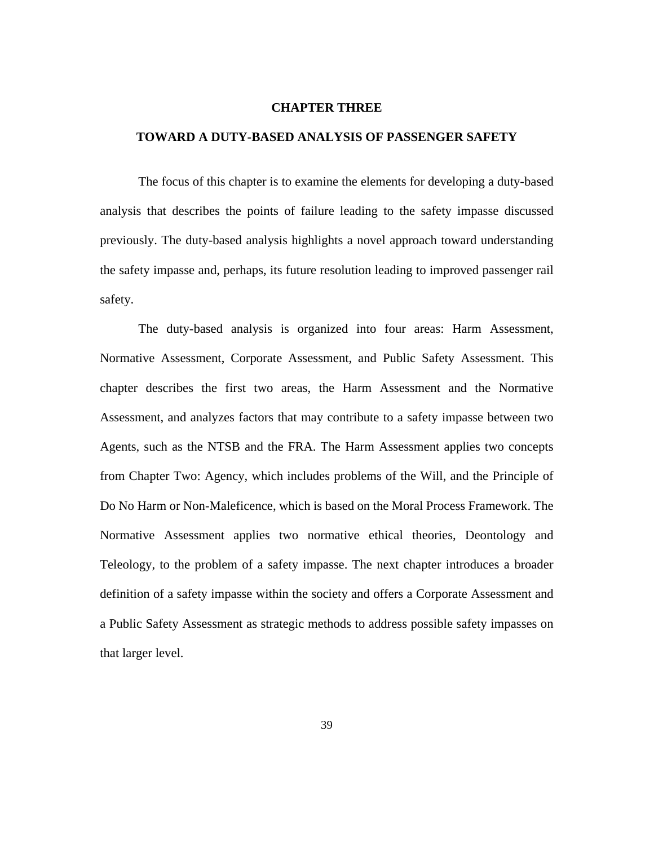#### **CHAPTER THREE**

## **TOWARD A DUTY-BASED ANALYSIS OF PASSENGER SAFETY**

The focus of this chapter is to examine the elements for developing a duty-based analysis that describes the points of failure leading to the safety impasse discussed previously. The duty-based analysis highlights a novel approach toward understanding the safety impasse and, perhaps, its future resolution leading to improved passenger rail safety.

The duty-based analysis is organized into four areas: Harm Assessment, Normative Assessment, Corporate Assessment, and Public Safety Assessment. This chapter describes the first two areas, the Harm Assessment and the Normative Assessment, and analyzes factors that may contribute to a safety impasse between two Agents, such as the NTSB and the FRA. The Harm Assessment applies two concepts from Chapter Two: Agency, which includes problems of the Will, and the Principle of Do No Harm or Non-Maleficence, which is based on the Moral Process Framework. The Normative Assessment applies two normative ethical theories, Deontology and Teleology, to the problem of a safety impasse. The next chapter introduces a broader definition of a safety impasse within the society and offers a Corporate Assessment and a Public Safety Assessment as strategic methods to address possible safety impasses on that larger level.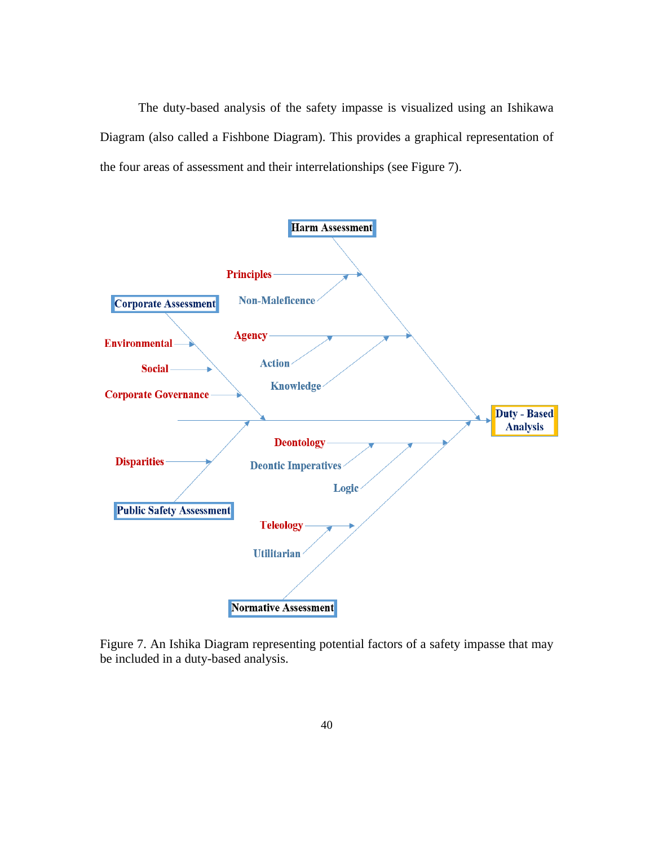The duty-based analysis of the safety impasse is visualized using an Ishikawa Diagram (also called a Fishbone Diagram). This provides a graphical representation of the four areas of assessment and their interrelationships (see Figure 7).



Figure 7. An Ishika Diagram representing potential factors of a safety impasse that may be included in a duty-based analysis.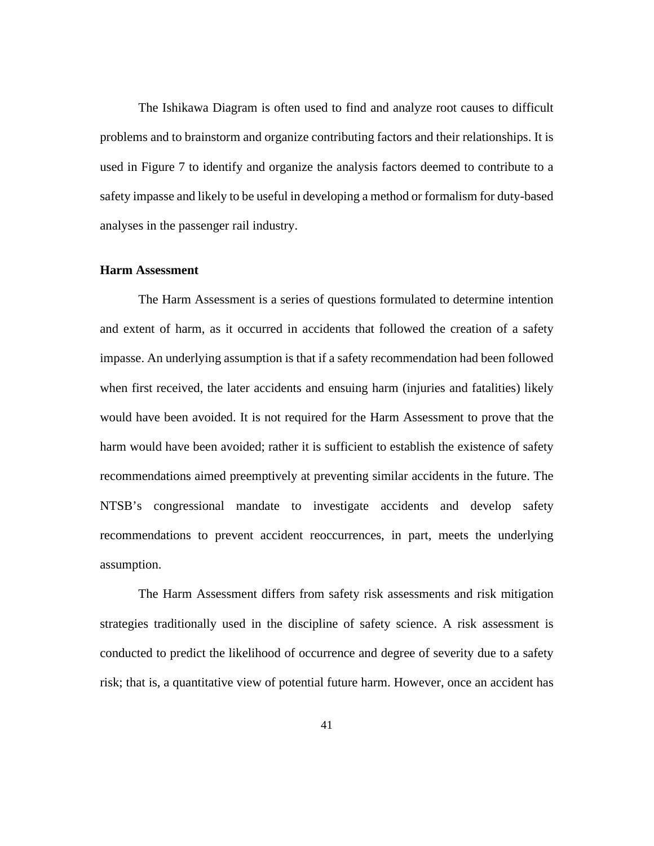The Ishikawa Diagram is often used to find and analyze root causes to difficult problems and to brainstorm and organize contributing factors and their relationships. It is used in Figure 7 to identify and organize the analysis factors deemed to contribute to a safety impasse and likely to be useful in developing a method or formalism for duty-based analyses in the passenger rail industry.

### **Harm Assessment**

The Harm Assessment is a series of questions formulated to determine intention and extent of harm, as it occurred in accidents that followed the creation of a safety impasse. An underlying assumption is that if a safety recommendation had been followed when first received, the later accidents and ensuing harm (injuries and fatalities) likely would have been avoided. It is not required for the Harm Assessment to prove that the harm would have been avoided; rather it is sufficient to establish the existence of safety recommendations aimed preemptively at preventing similar accidents in the future. The NTSB's congressional mandate to investigate accidents and develop safety recommendations to prevent accident reoccurrences, in part, meets the underlying assumption.

The Harm Assessment differs from safety risk assessments and risk mitigation strategies traditionally used in the discipline of safety science. A risk assessment is conducted to predict the likelihood of occurrence and degree of severity due to a safety risk; that is, a quantitative view of potential future harm. However, once an accident has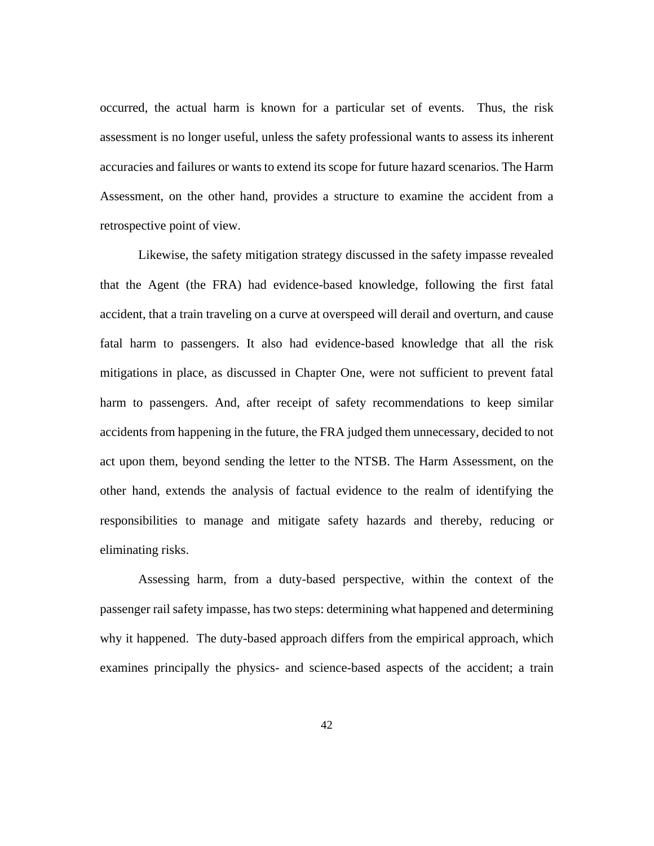occurred, the actual harm is known for a particular set of events. Thus, the risk assessment is no longer useful, unless the safety professional wants to assess its inherent accuracies and failures or wants to extend its scope for future hazard scenarios. The Harm Assessment, on the other hand, provides a structure to examine the accident from a retrospective point of view.

Likewise, the safety mitigation strategy discussed in the safety impasse revealed that the Agent (the FRA) had evidence-based knowledge, following the first fatal accident, that a train traveling on a curve at overspeed will derail and overturn, and cause fatal harm to passengers. It also had evidence-based knowledge that all the risk mitigations in place, as discussed in Chapter One, were not sufficient to prevent fatal harm to passengers. And, after receipt of safety recommendations to keep similar accidents from happening in the future, the FRA judged them unnecessary, decided to not act upon them, beyond sending the letter to the NTSB. The Harm Assessment, on the other hand, extends the analysis of factual evidence to the realm of identifying the responsibilities to manage and mitigate safety hazards and thereby, reducing or eliminating risks.

Assessing harm, from a duty-based perspective, within the context of the passenger rail safety impasse, has two steps: determining what happened and determining why it happened. The duty-based approach differs from the empirical approach, which examines principally the physics- and science-based aspects of the accident; a train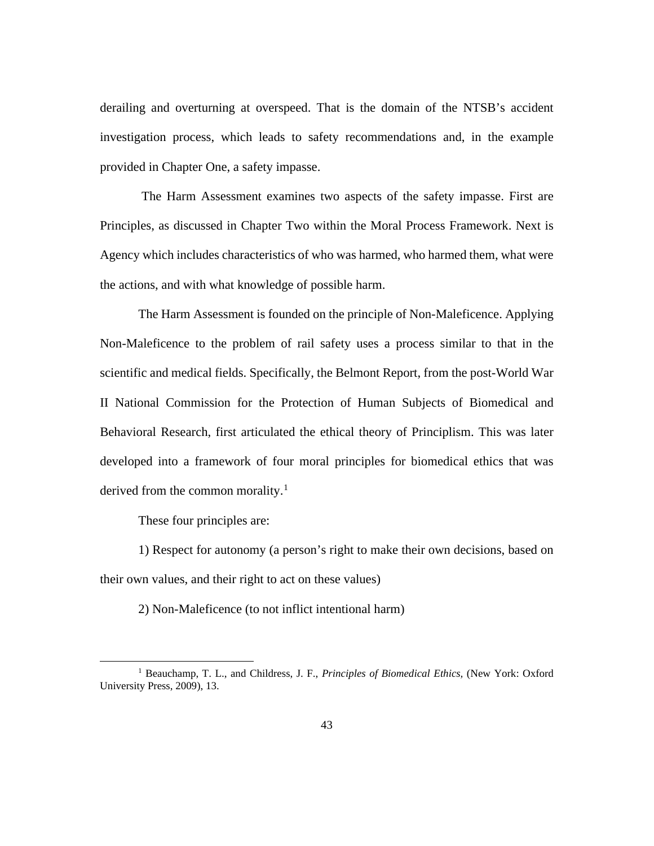derailing and overturning at overspeed. That is the domain of the NTSB's accident investigation process, which leads to safety recommendations and, in the example provided in Chapter One, a safety impasse.

The Harm Assessment examines two aspects of the safety impasse. First are Principles, as discussed in Chapter Two within the Moral Process Framework. Next is Agency which includes characteristics of who was harmed, who harmed them, what were the actions, and with what knowledge of possible harm.

The Harm Assessment is founded on the principle of Non-Maleficence. Applying Non-Maleficence to the problem of rail safety uses a process similar to that in the scientific and medical fields. Specifically, the Belmont Report, from the post-World War II National Commission for the Protection of Human Subjects of Biomedical and Behavioral Research, first articulated the ethical theory of Principlism. This was later developed into a framework of four moral principles for biomedical ethics that was derived from the common morality. [1](#page-50-0)

These four principles are:

1) Respect for autonomy (a person's right to make their own decisions, based on their own values, and their right to act on these values)

2) Non-Maleficence (to not inflict intentional harm)

<span id="page-50-0"></span><sup>1</sup> Beauchamp, T. L., and Childress, J. F., *Principles of Biomedical Ethics,* (New York: Oxford University Press, 2009), 13.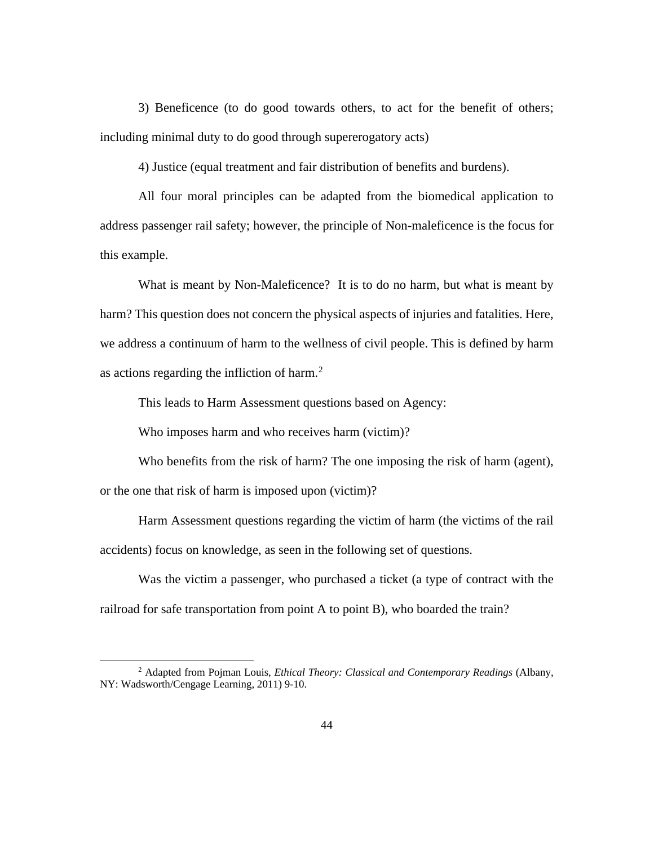3) Beneficence (to do good towards others, to act for the benefit of others; including minimal duty to do good through supererogatory acts)

4) Justice (equal treatment and fair distribution of benefits and burdens).

All four moral principles can be adapted from the biomedical application to address passenger rail safety; however, the principle of Non-maleficence is the focus for this example.

What is meant by Non-Maleficence? It is to do no harm, but what is meant by harm? This question does not concern the physical aspects of injuries and fatalities. Here, we address a continuum of harm to the wellness of civil people. This is defined by harm as actions regarding the infliction of harm. [2](#page-51-0)

This leads to Harm Assessment questions based on Agency:

Who imposes harm and who receives harm (victim)?

Who benefits from the risk of harm? The one imposing the risk of harm (agent),

or the one that risk of harm is imposed upon (victim)?

Harm Assessment questions regarding the victim of harm (the victims of the rail accidents) focus on knowledge, as seen in the following set of questions.

Was the victim a passenger, who purchased a ticket (a type of contract with the railroad for safe transportation from point A to point B), who boarded the train?

<span id="page-51-0"></span><sup>2</sup> Adapted from Pojman Louis, *Ethical Theory: Classical and Contemporary Readings* (Albany, NY: Wadsworth/Cengage Learning, 2011) 9-10.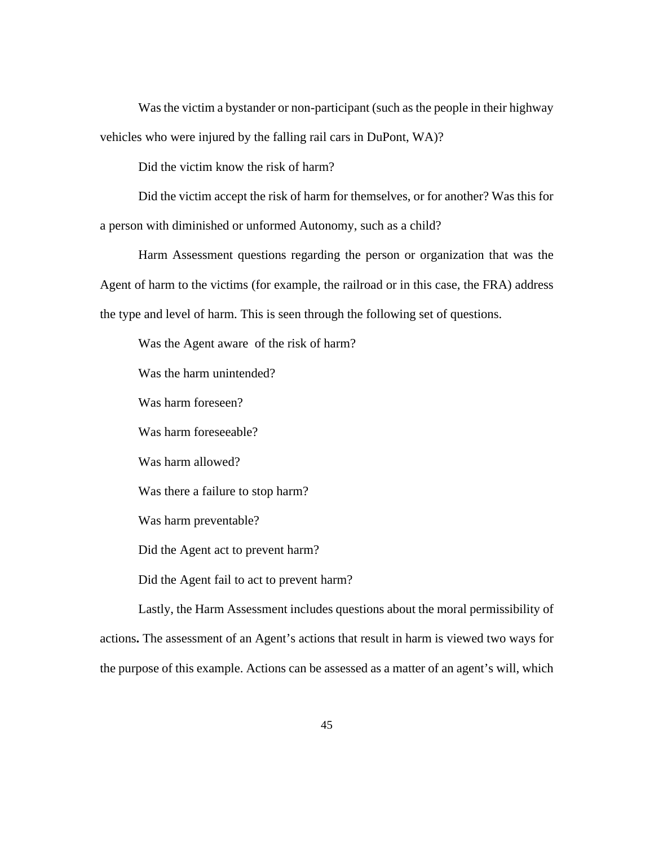Was the victim a bystander or non-participant (such as the people in their highway vehicles who were injured by the falling rail cars in DuPont, WA)?

Did the victim know the risk of harm?

Did the victim accept the risk of harm for themselves, or for another? Was this for a person with diminished or unformed Autonomy, such as a child?

Harm Assessment questions regarding the person or organization that was the Agent of harm to the victims (for example, the railroad or in this case, the FRA) address the type and level of harm. This is seen through the following set of questions.

Was the Agent aware of the risk of harm? Was the harm unintended? Was harm foreseen? Was harm foreseeable? Was harm allowed? Was there a failure to stop harm? Was harm preventable? Did the Agent act to prevent harm? Did the Agent fail to act to prevent harm?

Lastly, the Harm Assessment includes questions about the moral permissibility of actions**.** The assessment of an Agent's actions that result in harm is viewed two ways for the purpose of this example. Actions can be assessed as a matter of an agent's will, which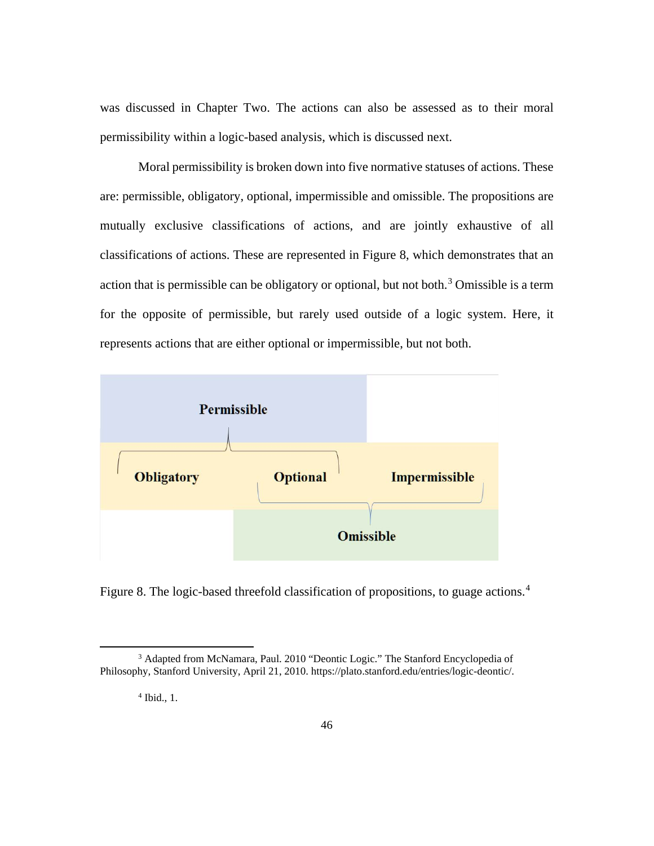was discussed in Chapter Two. The actions can also be assessed as to their moral permissibility within a logic-based analysis, which is discussed next.

Moral permissibility is broken down into five normative statuses of actions. These are: permissible, obligatory, optional, impermissible and omissible. The propositions are mutually exclusive classifications of actions, and are jointly exhaustive of all classifications of actions. These are represented in Figure 8, which demonstrates that an action that is permissible can be obligatory or optional, but not both.<sup>[3](#page-53-0)</sup> Omissible is a term for the opposite of permissible, but rarely used outside of a logic system. Here, it represents actions that are either optional or impermissible, but not both.



Figure 8. The logic-based threefold classification of propositions, to guage actions.<sup>[4](#page-53-1)</sup>

<span id="page-53-1"></span><span id="page-53-0"></span><sup>&</sup>lt;sup>3</sup> Adapted from McNamara, Paul. 2010 "Deontic Logic." The Stanford Encyclopedia of Philosophy, Stanford University, April 21, 2010. [https://plato.stanford.edu/entries/logic-deontic/.](https://plato.stanford.edu/entries/logic-deontic/)

<sup>4</sup> Ibid., 1.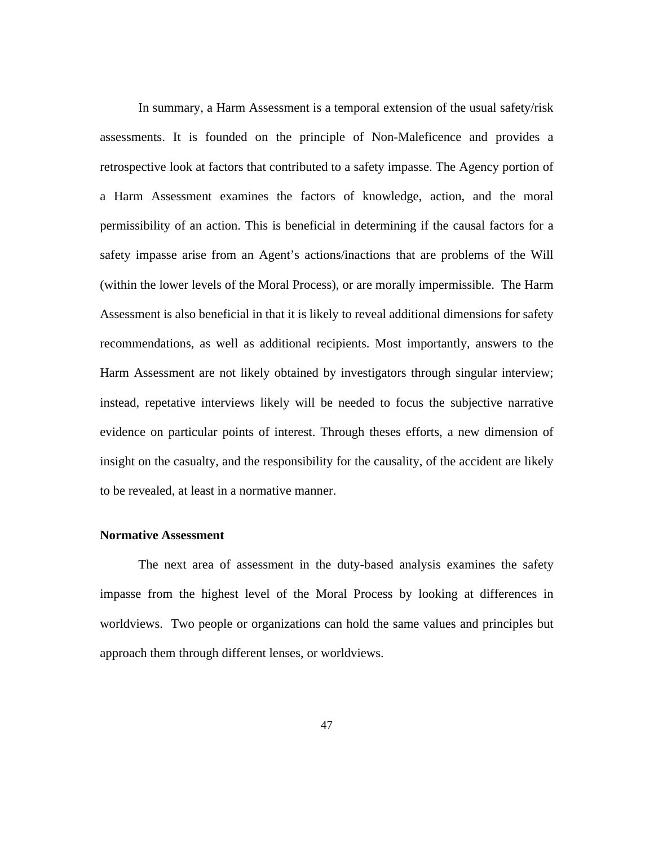In summary, a Harm Assessment is a temporal extension of the usual safety/risk assessments. It is founded on the principle of Non-Maleficence and provides a retrospective look at factors that contributed to a safety impasse. The Agency portion of a Harm Assessment examines the factors of knowledge, action, and the moral permissibility of an action. This is beneficial in determining if the causal factors for a safety impasse arise from an Agent's actions/inactions that are problems of the Will (within the lower levels of the Moral Process), or are morally impermissible. The Harm Assessment is also beneficial in that it is likely to reveal additional dimensions for safety recommendations, as well as additional recipients. Most importantly, answers to the Harm Assessment are not likely obtained by investigators through singular interview; instead, repetative interviews likely will be needed to focus the subjective narrative evidence on particular points of interest. Through theses efforts, a new dimension of insight on the casualty, and the responsibility for the causality, of the accident are likely to be revealed, at least in a normative manner.

## **Normative Assessment**

The next area of assessment in the duty-based analysis examines the safety impasse from the highest level of the Moral Process by looking at differences in worldviews. Two people or organizations can hold the same values and principles but approach them through different lenses, or worldviews.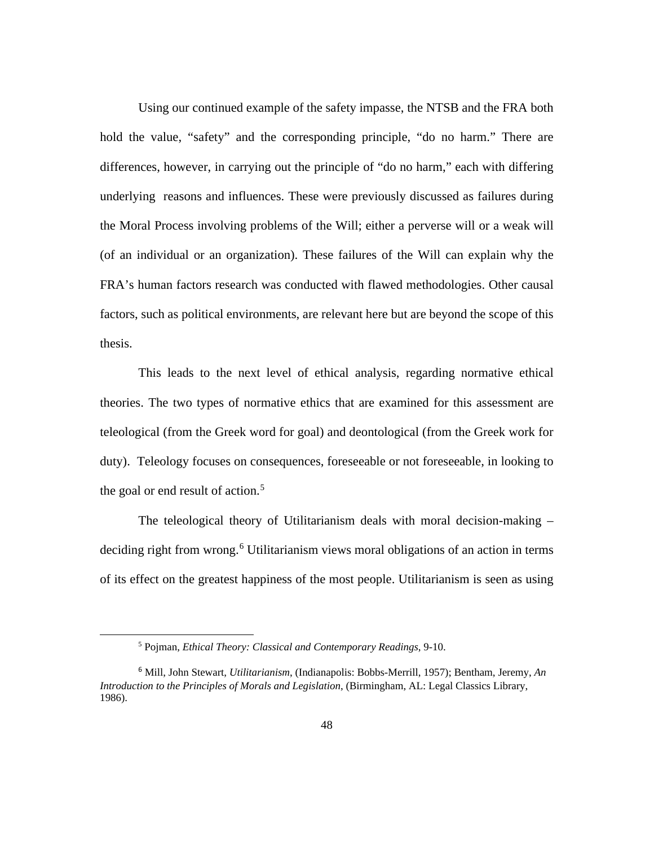Using our continued example of the safety impasse, the NTSB and the FRA both hold the value, "safety" and the corresponding principle, "do no harm." There are differences, however, in carrying out the principle of "do no harm," each with differing underlying reasons and influences. These were previously discussed as failures during the Moral Process involving problems of the Will; either a perverse will or a weak will (of an individual or an organization). These failures of the Will can explain why the FRA's human factors research was conducted with flawed methodologies. Other causal factors, such as political environments, are relevant here but are beyond the scope of this thesis.

This leads to the next level of ethical analysis, regarding normative ethical theories. The two types of normative ethics that are examined for this assessment are teleological (from the Greek word for goal) and deontological (from the Greek work for duty). Teleology focuses on consequences, foreseeable or not foreseeable, in looking to the goal or end result of action. [5](#page-55-0)

The teleological theory of Utilitarianism deals with moral decision-making – deciding right from wrong.<sup>[6](#page-55-1)</sup> Utilitarianism views moral obligations of an action in terms of its effect on the greatest happiness of the most people. Utilitarianism is seen as using

<sup>5</sup> Pojman, *Ethical Theory: Classical and Contemporary Readings*, 9-10.

<span id="page-55-1"></span><span id="page-55-0"></span><sup>6</sup> Mill, John Stewart, *Utilitarianism*, (Indianapolis: Bobbs-Merrill, 1957); Bentham, Jeremy, *An Introduction to the Principles of Morals and Legislation*, (Birmingham, AL: Legal Classics Library, 1986).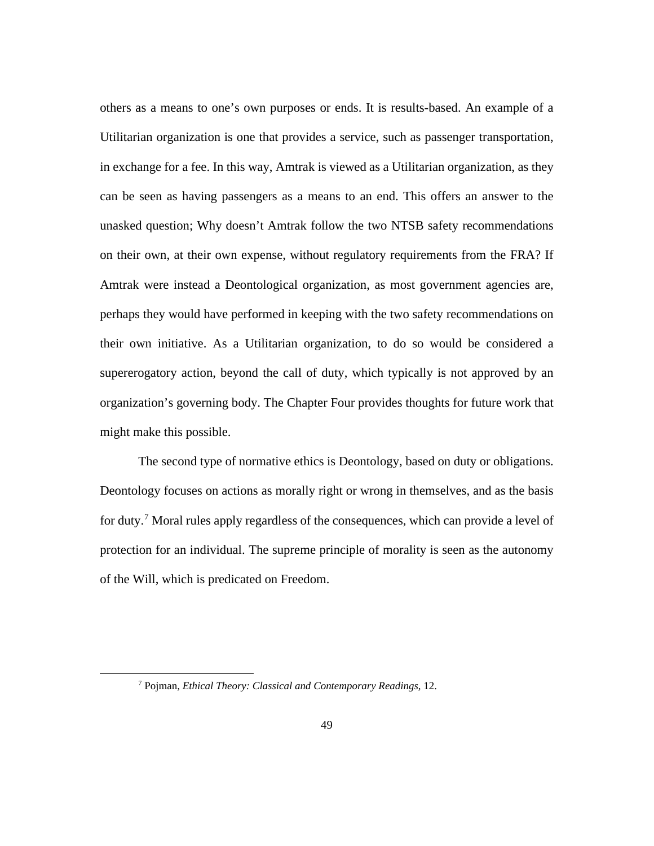others as a means to one's own purposes or ends. It is results-based. An example of a Utilitarian organization is one that provides a service, such as passenger transportation, in exchange for a fee. In this way, Amtrak is viewed as a Utilitarian organization, as they can be seen as having passengers as a means to an end. This offers an answer to the unasked question; Why doesn't Amtrak follow the two NTSB safety recommendations on their own, at their own expense, without regulatory requirements from the FRA? If Amtrak were instead a Deontological organization, as most government agencies are, perhaps they would have performed in keeping with the two safety recommendations on their own initiative. As a Utilitarian organization, to do so would be considered a supererogatory action, beyond the call of duty, which typically is not approved by an organization's governing body. The Chapter Four provides thoughts for future work that might make this possible.

The second type of normative ethics is Deontology, based on duty or obligations. Deontology focuses on actions as morally right or wrong in themselves, and as the basis for duty.<sup>[7](#page-56-0)</sup> Moral rules apply regardless of the consequences, which can provide a level of protection for an individual. The supreme principle of morality is seen as the autonomy of the Will, which is predicated on Freedom.

<span id="page-56-0"></span><sup>7</sup> Pojman, *Ethical Theory: Classical and Contemporary Readings*, 12.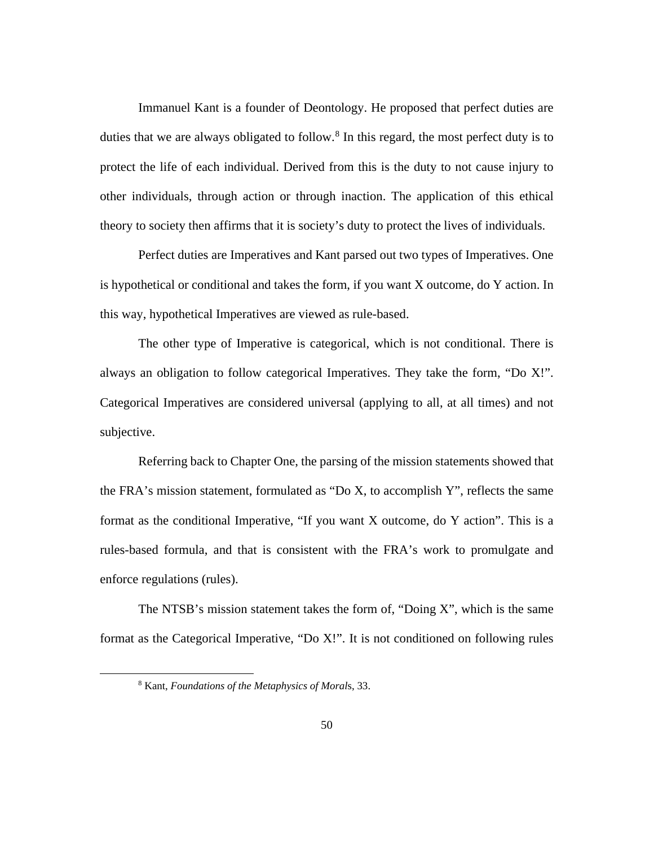Immanuel Kant is a founder of Deontology. He proposed that perfect duties are duties that we are always obligated to follow.<sup>[8](#page-57-0)</sup> In this regard, the most perfect duty is to protect the life of each individual. Derived from this is the duty to not cause injury to other individuals, through action or through inaction. The application of this ethical theory to society then affirms that it is society's duty to protect the lives of individuals.

Perfect duties are Imperatives and Kant parsed out two types of Imperatives. One is hypothetical or conditional and takes the form, if you want X outcome, do Y action. In this way, hypothetical Imperatives are viewed as rule-based.

The other type of Imperative is categorical, which is not conditional. There is always an obligation to follow categorical Imperatives. They take the form, "Do X!". Categorical Imperatives are considered universal (applying to all, at all times) and not subjective.

Referring back to Chapter One, the parsing of the mission statements showed that the FRA's mission statement, formulated as "Do X, to accomplish Y", reflects the same format as the conditional Imperative, "If you want X outcome, do Y action". This is a rules-based formula, and that is consistent with the FRA's work to promulgate and enforce regulations (rules).

<span id="page-57-0"></span>The NTSB's mission statement takes the form of, "Doing X", which is the same format as the Categorical Imperative, "Do X!". It is not conditioned on following rules

<sup>8</sup> Kant, *Foundations of the Metaphysics of Moral*s, 33.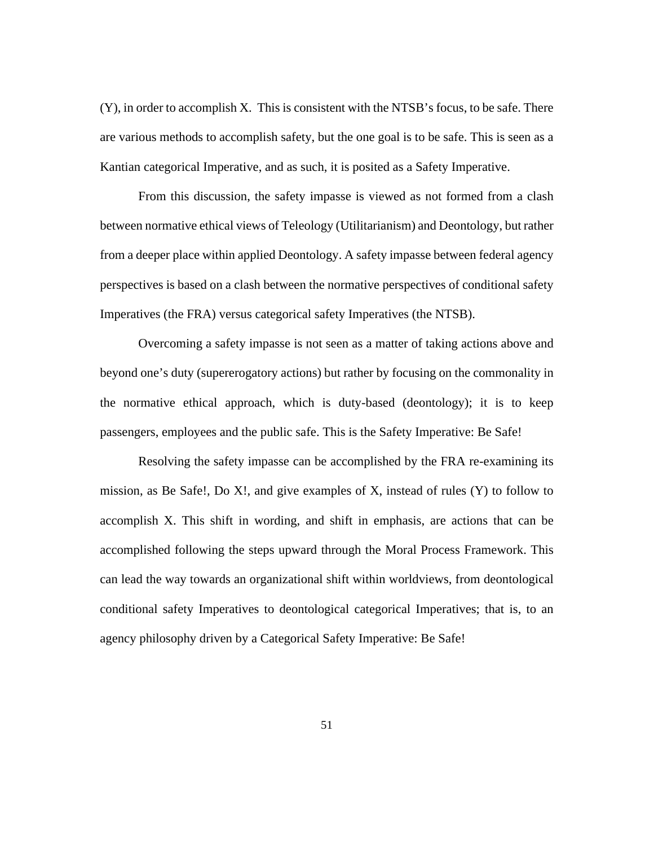(Y), in order to accomplish X. This is consistent with the NTSB's focus, to be safe. There are various methods to accomplish safety, but the one goal is to be safe. This is seen as a Kantian categorical Imperative, and as such, it is posited as a Safety Imperative.

From this discussion, the safety impasse is viewed as not formed from a clash between normative ethical views of Teleology (Utilitarianism) and Deontology, but rather from a deeper place within applied Deontology. A safety impasse between federal agency perspectives is based on a clash between the normative perspectives of conditional safety Imperatives (the FRA) versus categorical safety Imperatives (the NTSB).

Overcoming a safety impasse is not seen as a matter of taking actions above and beyond one's duty (supererogatory actions) but rather by focusing on the commonality in the normative ethical approach, which is duty-based (deontology); it is to keep passengers, employees and the public safe. This is the Safety Imperative: Be Safe!

Resolving the safety impasse can be accomplished by the FRA re-examining its mission, as Be Safe!, Do X!, and give examples of X, instead of rules  $(Y)$  to follow to accomplish X. This shift in wording, and shift in emphasis, are actions that can be accomplished following the steps upward through the Moral Process Framework. This can lead the way towards an organizational shift within worldviews, from deontological conditional safety Imperatives to deontological categorical Imperatives; that is, to an agency philosophy driven by a Categorical Safety Imperative: Be Safe!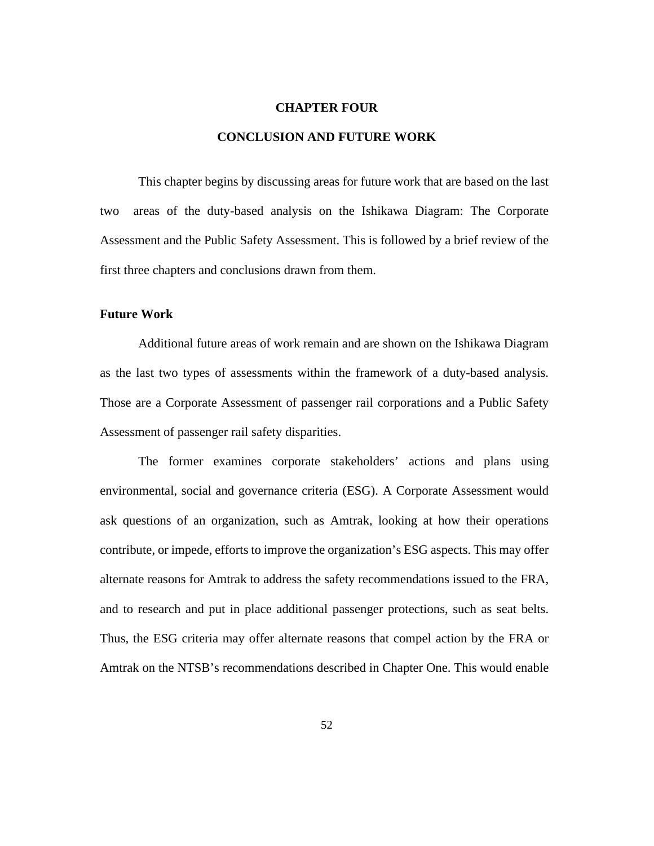#### **CHAPTER FOUR**

## **CONCLUSION AND FUTURE WORK**

This chapter begins by discussing areas for future work that are based on the last two areas of the duty-based analysis on the Ishikawa Diagram: The Corporate Assessment and the Public Safety Assessment. This is followed by a brief review of the first three chapters and conclusions drawn from them.

## **Future Work**

Additional future areas of work remain and are shown on the Ishikawa Diagram as the last two types of assessments within the framework of a duty-based analysis. Those are a Corporate Assessment of passenger rail corporations and a Public Safety Assessment of passenger rail safety disparities.

The former examines corporate stakeholders' actions and plans using environmental, social and governance criteria (ESG). A Corporate Assessment would ask questions of an organization, such as Amtrak, looking at how their operations contribute, or impede, efforts to improve the organization's ESG aspects. This may offer alternate reasons for Amtrak to address the safety recommendations issued to the FRA, and to research and put in place additional passenger protections, such as seat belts. Thus, the ESG criteria may offer alternate reasons that compel action by the FRA or Amtrak on the NTSB's recommendations described in Chapter One. This would enable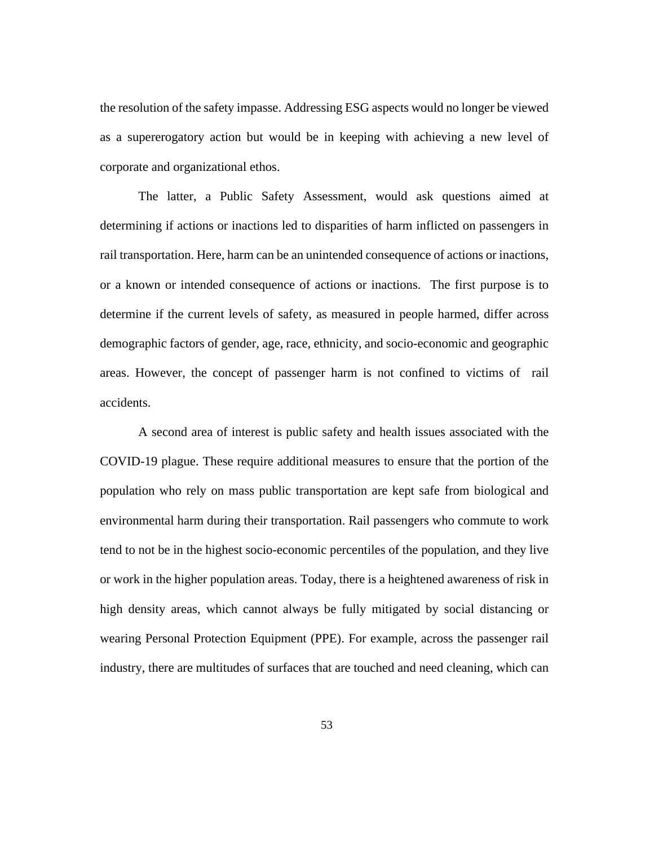the resolution of the safety impasse. Addressing ESG aspects would no longer be viewed as a supererogatory action but would be in keeping with achieving a new level of corporate and organizational ethos.

The latter, a Public Safety Assessment, would ask questions aimed at determining if actions or inactions led to disparities of harm inflicted on passengers in rail transportation. Here, harm can be an unintended consequence of actions or inactions, or a known or intended consequence of actions or inactions. The first purpose is to determine if the current levels of safety, as measured in people harmed, differ across demographic factors of gender, age, race, ethnicity, and socio-economic and geographic areas. However, the concept of passenger harm is not confined to victims of rail accidents.

A second area of interest is public safety and health issues associated with the COVID-19 plague. These require additional measures to ensure that the portion of the population who rely on mass public transportation are kept safe from biological and environmental harm during their transportation. Rail passengers who commute to work tend to not be in the highest socio-economic percentiles of the population, and they live or work in the higher population areas. Today, there is a heightened awareness of risk in high density areas, which cannot always be fully mitigated by social distancing or wearing Personal Protection Equipment (PPE). For example, across the passenger rail industry, there are multitudes of surfaces that are touched and need cleaning, which can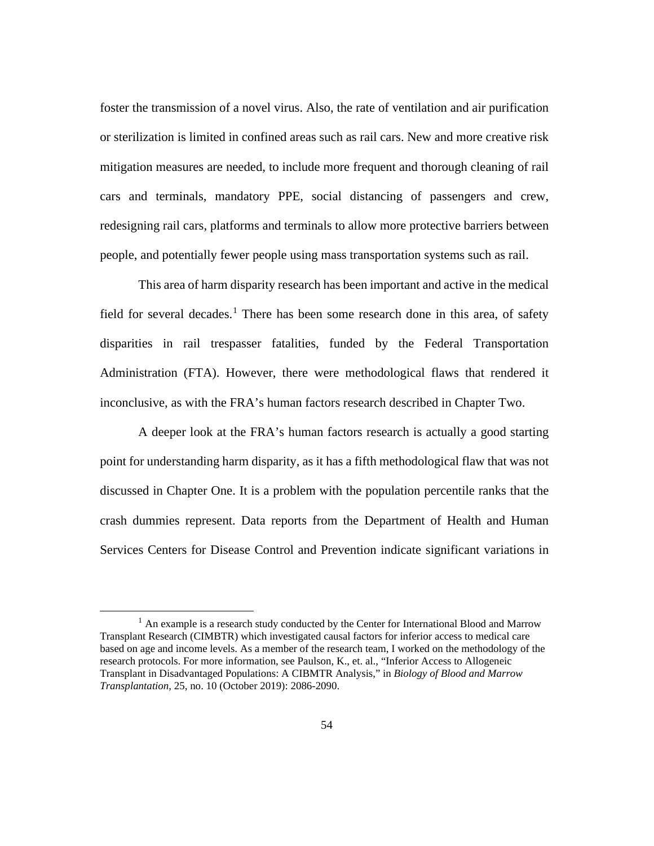foster the transmission of a novel virus. Also, the rate of ventilation and air purification or sterilization is limited in confined areas such as rail cars. New and more creative risk mitigation measures are needed, to include more frequent and thorough cleaning of rail cars and terminals, mandatory PPE, social distancing of passengers and crew, redesigning rail cars, platforms and terminals to allow more protective barriers between people, and potentially fewer people using mass transportation systems such as rail.

This area of harm disparity research has been important and active in the medical field for several decades.<sup>[1](#page-61-0)</sup> There has been some research done in this area, of safety disparities in rail trespasser fatalities, funded by the Federal Transportation Administration (FTA). However, there were methodological flaws that rendered it inconclusive, as with the FRA's human factors research described in Chapter Two.

A deeper look at the FRA's human factors research is actually a good starting point for understanding harm disparity, as it has a fifth methodological flaw that was not discussed in Chapter One. It is a problem with the population percentile ranks that the crash dummies represent. Data reports from the Department of Health and Human Services Centers for Disease Control and Prevention indicate significant variations in

<span id="page-61-0"></span> $<sup>1</sup>$  An example is a research study conducted by the Center for International Blood and Marrow</sup> Transplant Research (CIMBTR) which investigated causal factors for inferior access to medical care based on age and income levels. As a member of the research team, I worked on the methodology of the research protocols. For more information, see Paulson, K., et. al., "Inferior Access to Allogeneic Transplant in Disadvantaged Populations: A CIBMTR Analysis," in *Biology of Blood and Marrow Transplantation*, 25, no. 10 (October 2019): 2086-2090.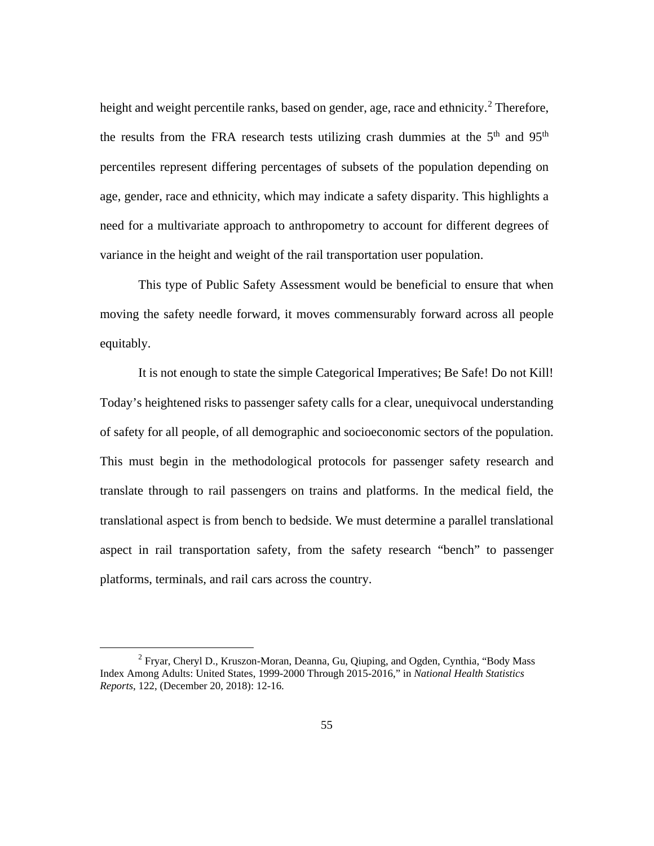height and weight percentile ranks, based on gender, age, race and ethnicity.<sup>[2](#page-62-0)</sup> Therefore, the results from the FRA research tests utilizing crash dummies at the  $5<sup>th</sup>$  and  $95<sup>th</sup>$ percentiles represent differing percentages of subsets of the population depending on age, gender, race and ethnicity, which may indicate a safety disparity. This highlights a need for a multivariate approach to anthropometry to account for different degrees of variance in the height and weight of the rail transportation user population.

This type of Public Safety Assessment would be beneficial to ensure that when moving the safety needle forward, it moves commensurably forward across all people equitably.

It is not enough to state the simple Categorical Imperatives; Be Safe! Do not Kill! Today's heightened risks to passenger safety calls for a clear, unequivocal understanding of safety for all people, of all demographic and socioeconomic sectors of the population. This must begin in the methodological protocols for passenger safety research and translate through to rail passengers on trains and platforms. In the medical field, the translational aspect is from bench to bedside. We must determine a parallel translational aspect in rail transportation safety, from the safety research "bench" to passenger platforms, terminals, and rail cars across the country.

<span id="page-62-0"></span> $2$  Fryar, Cheryl D., Kruszon-Moran, Deanna, Gu, Qiuping, and Ogden, Cynthia, "Body Mass" Index Among Adults: United States, 1999-2000 Through 2015-2016," in *National Health Statistics Reports*, 122, (December 20, 2018): 12-16.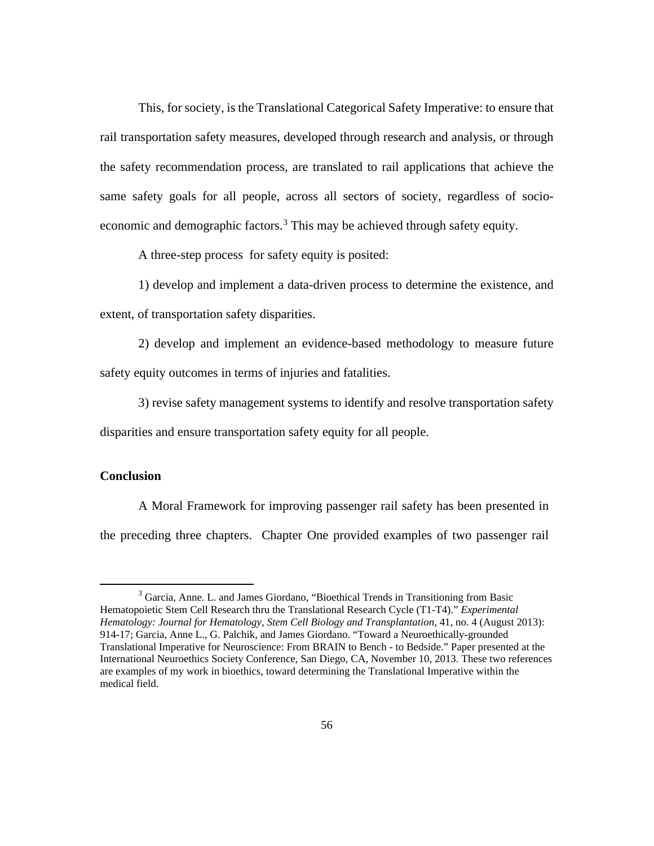This, for society, is the Translational Categorical Safety Imperative: to ensure that rail transportation safety measures, developed through research and analysis, or through the safety recommendation process, are translated to rail applications that achieve the same safety goals for all people, across all sectors of society, regardless of socio-economic and demographic factors.<sup>[3](#page-63-0)</sup> This may be achieved through safety equity.

A three-step process for safety equity is posited:

1) develop and implement a data-driven process to determine the existence, and extent, of transportation safety disparities.

2) develop and implement an evidence-based methodology to measure future safety equity outcomes in terms of injuries and fatalities.

3) revise safety management systems to identify and resolve transportation safety disparities and ensure transportation safety equity for all people.

## **Conclusion**

A Moral Framework for improving passenger rail safety has been presented in the preceding three chapters. Chapter One provided examples of two passenger rail

<span id="page-63-0"></span><sup>3</sup> Garcia, Anne. L. and James Giordano, "Bioethical Trends in Transitioning from Basic Hematopoietic Stem Cell Research thru the Translational Research Cycle (T1-T4)." *Experimental Hematology: Journal for Hematology, Stem Cell Biology and Transplantation*, 41, no. 4 (August 2013): 914-17; Garcia, Anne L., G. Palchik, and James Giordano. "Toward a Neuroethically-grounded Translational Imperative for Neuroscience: From BRAIN to Bench - to Bedside." Paper presented at the International Neuroethics Society Conference, San Diego, CA, November 10, 2013. These two references are examples of my work in bioethics, toward determining the Translational Imperative within the medical field.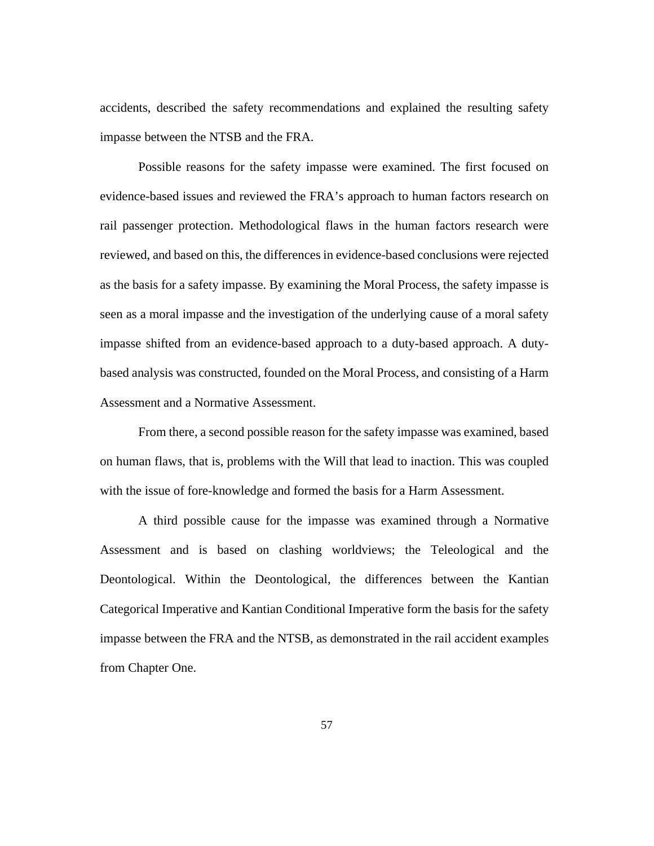accidents, described the safety recommendations and explained the resulting safety impasse between the NTSB and the FRA.

Possible reasons for the safety impasse were examined. The first focused on evidence-based issues and reviewed the FRA's approach to human factors research on rail passenger protection. Methodological flaws in the human factors research were reviewed, and based on this, the differences in evidence-based conclusions were rejected as the basis for a safety impasse. By examining the Moral Process, the safety impasse is seen as a moral impasse and the investigation of the underlying cause of a moral safety impasse shifted from an evidence-based approach to a duty-based approach. A dutybased analysis was constructed, founded on the Moral Process, and consisting of a Harm Assessment and a Normative Assessment.

From there, a second possible reason for the safety impasse was examined, based on human flaws, that is, problems with the Will that lead to inaction. This was coupled with the issue of fore-knowledge and formed the basis for a Harm Assessment.

A third possible cause for the impasse was examined through a Normative Assessment and is based on clashing worldviews; the Teleological and the Deontological. Within the Deontological, the differences between the Kantian Categorical Imperative and Kantian Conditional Imperative form the basis for the safety impasse between the FRA and the NTSB, as demonstrated in the rail accident examples from Chapter One.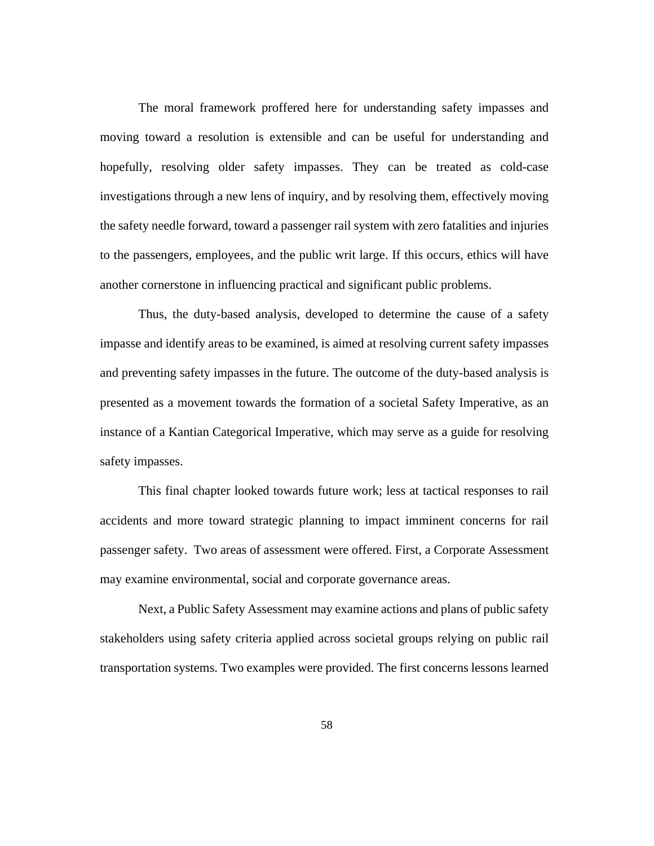The moral framework proffered here for understanding safety impasses and moving toward a resolution is extensible and can be useful for understanding and hopefully, resolving older safety impasses. They can be treated as cold-case investigations through a new lens of inquiry, and by resolving them, effectively moving the safety needle forward, toward a passenger rail system with zero fatalities and injuries to the passengers, employees, and the public writ large. If this occurs, ethics will have another cornerstone in influencing practical and significant public problems.

Thus, the duty-based analysis, developed to determine the cause of a safety impasse and identify areas to be examined, is aimed at resolving current safety impasses and preventing safety impasses in the future. The outcome of the duty-based analysis is presented as a movement towards the formation of a societal Safety Imperative, as an instance of a Kantian Categorical Imperative, which may serve as a guide for resolving safety impasses.

This final chapter looked towards future work; less at tactical responses to rail accidents and more toward strategic planning to impact imminent concerns for rail passenger safety. Two areas of assessment were offered. First, a Corporate Assessment may examine environmental, social and corporate governance areas.

Next, a Public Safety Assessment may examine actions and plans of public safety stakeholders using safety criteria applied across societal groups relying on public rail transportation systems. Two examples were provided. The first concerns lessons learned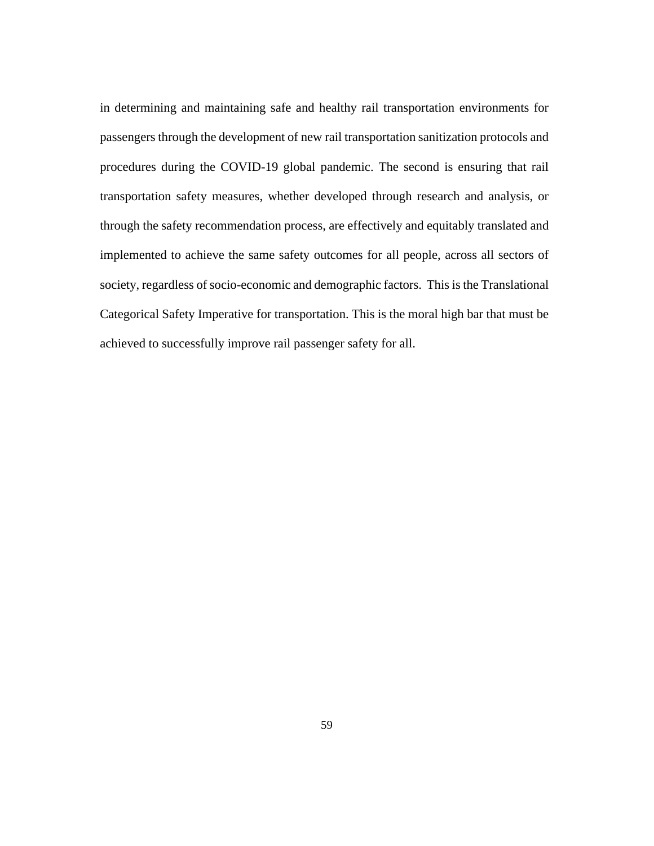in determining and maintaining safe and healthy rail transportation environments for passengers through the development of new rail transportation sanitization protocols and procedures during the COVID-19 global pandemic. The second is ensuring that rail transportation safety measures, whether developed through research and analysis, or through the safety recommendation process, are effectively and equitably translated and implemented to achieve the same safety outcomes for all people, across all sectors of society, regardless of socio-economic and demographic factors. This is the Translational Categorical Safety Imperative for transportation. This is the moral high bar that must be achieved to successfully improve rail passenger safety for all.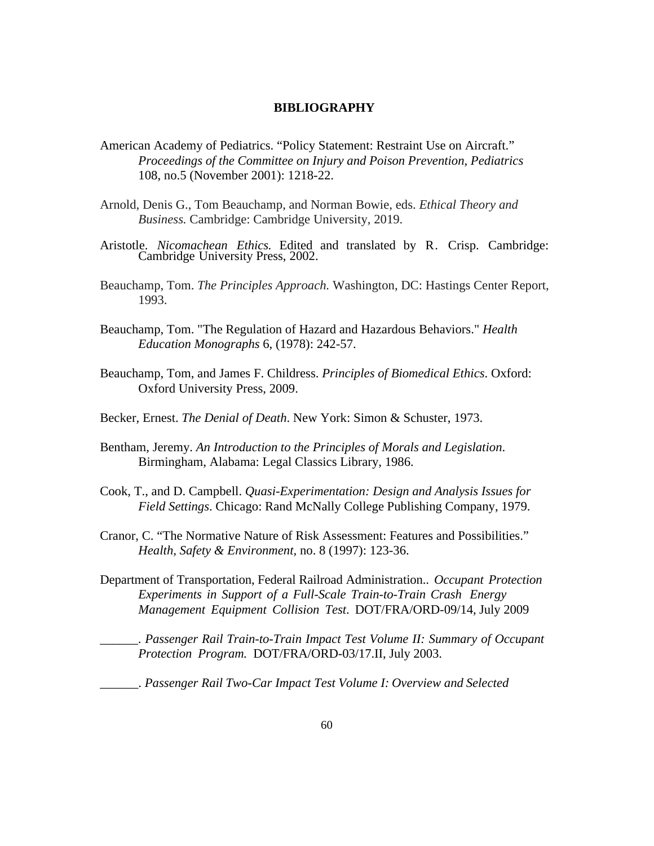### **BIBLIOGRAPHY**

- American Academy of Pediatrics. "Policy Statement: Restraint Use on Aircraft." *Proceedings of the Committee on Injury and Poison Prevention, Pediatrics* 108, no.5 (November 2001): 1218-22.
- Arnold, Denis G., Tom Beauchamp, and Norman Bowie, eds. *Ethical Theory and Business.* Cambridge: Cambridge University, 2019.
- Aristotle. *Nicomachean Ethics.* Edited and translated by R. Crisp. Cambridge: Cambridge University Press, 2002.
- Beauchamp, Tom. *The Principles Approach.* Washington, DC: Hastings Center Report, 1993.
- Beauchamp, Tom. "The Regulation of Hazard and Hazardous Behaviors." *Health Education Monographs* 6, (1978): 242-57.
- Beauchamp, Tom, and James F. Childress. *Principles of Biomedical Ethics*. Oxford: Oxford University Press, 2009.
- Becker, Ernest. *The Denial of Death*. New York: Simon & Schuster, 1973.
- Bentham, Jeremy. *An Introduction to the Principles of Morals and Legislation*. Birmingham, Alabama: Legal Classics Library, 1986.
- Cook, T., and D. Campbell. *Quasi-Experimentation: Design and Analysis Issues for Field Settings*. Chicago: Rand McNally College Publishing Company, 1979.
- Cranor, C. "The Normative Nature of Risk Assessment: Features and Possibilities." *Health, Safety & Environment,* no. 8 (1997): 123-36.
- Department of Transportation, Federal Railroad Administration.. *Occupant Protection Experiments in Support of a Full-Scale Train-to-Train Crash Energy Management Equipment Collision Test*. DOT/FRA/ORD-09/14, July 2009

\_\_\_\_\_\_. *Passenger Rail Train-to-Train Impact Test Volume II: Summary of Occupant Protection Program.* DOT/FRA/ORD-03/17.II, July 2003.

\_\_\_\_\_\_. *Passenger Rail Two-Car Impact Test Volume I: Overview and Selected*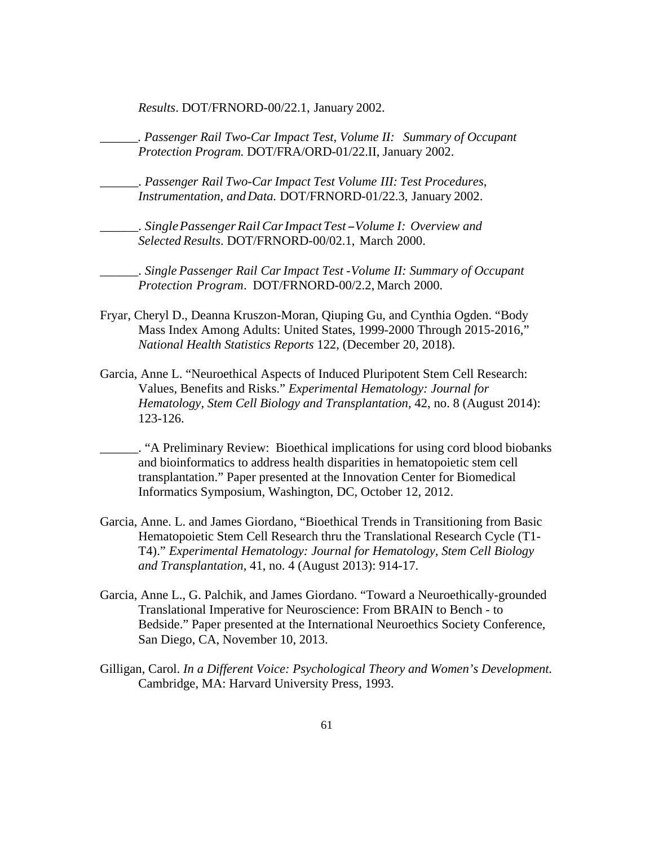*Results*. DOT/FRNORD-00/22.1, January 2002.

*\_\_\_\_\_\_. Passenger Rail Two-Car Impact Test, Volume II: Summary of Occupant Protection Program.* DOT/FRA/ORD-01/22.II, January 2002.

\_\_\_\_\_\_. *Passenger Rail Two-Car Impact Test Volume III: Test Procedures, Instrumentation, andData.* DOT/FRNORD-01/22.3, January 2002.

\_\_\_\_\_\_. *SinglePassengerRailCarImpactTest-Volume I: Overview and Selected Results*. DOT/FRNORD-00/02.1, March 2000.

\_\_\_\_\_\_. *Single Passenger Rail Car Impact Test -Volume II: Summary of Occupant Protection Program*. DOT/FRNORD-00/2.2, March 2000.

- Fryar, Cheryl D., Deanna Kruszon-Moran, Qiuping Gu, and Cynthia Ogden. "Body Mass Index Among Adults: United States, 1999-2000 Through 2015-2016," *National Health Statistics Reports* 122, (December 20, 2018).
- Garcia, Anne L. "Neuroethical Aspects of Induced Pluripotent Stem Cell Research: Values, Benefits and Risks." *Experimental Hematology: Journal for Hematology, Stem Cell Biology and Transplantation,* 42, no. 8 (August 2014): 123-126.
- \_\_\_\_\_\_. "A Preliminary Review: Bioethical implications for using cord blood biobanks and bioinformatics to address health disparities in hematopoietic stem cell transplantation." Paper presented at the Innovation Center for Biomedical Informatics Symposium, Washington, DC, October 12, 2012.
- Garcia, Anne. L. and James Giordano, "Bioethical Trends in Transitioning from Basic Hematopoietic Stem Cell Research thru the Translational Research Cycle (T1- T4)." *Experimental Hematology: Journal for Hematology, Stem Cell Biology and Transplantation*, 41, no. 4 (August 2013): 914-17.
- Garcia, Anne L., G. Palchik, and James Giordano. "Toward a Neuroethically-grounded Translational Imperative for Neuroscience: From BRAIN to Bench - to Bedside." Paper presented at the International Neuroethics Society Conference, San Diego, CA, November 10, 2013.
- Gilligan, Carol. *In a Different Voice: Psychological Theory and Women's Development.* Cambridge, MA: Harvard University Press, 1993.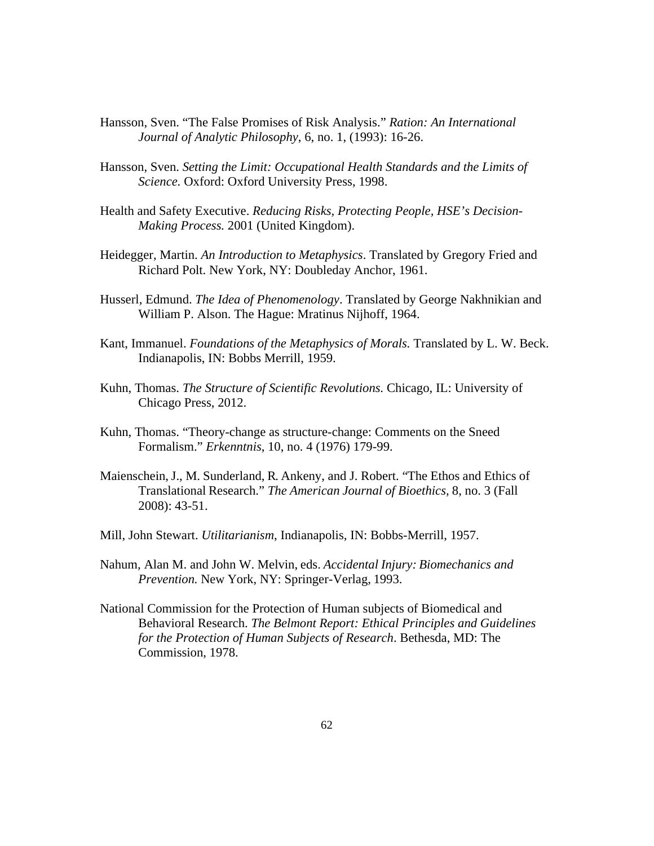- Hansson, Sven. "The False Promises of Risk Analysis." *Ration: An International Journal of Analytic Philosophy*, 6, no. 1, (1993): 16-26.
- Hansson, Sven. *Setting the Limit: Occupational Health Standards and the Limits of Science.* Oxford: Oxford University Press, 1998.
- Health and Safety Executive. *Reducing Risks, Protecting People, HSE's Decision-Making Process.* 2001 (United Kingdom).
- Heidegger, Martin. *An Introduction to Metaphysics*. Translated by Gregory Fried and Richard Polt. New York, NY: Doubleday Anchor, 1961.
- Husserl, Edmund. *The Idea of Phenomenology*. Translated by George Nakhnikian and William P. Alson. The Hague: Mratinus Nijhoff, 1964.
- Kant, Immanuel. *Foundations of the Metaphysics of Morals.* Translated by L. W. Beck. Indianapolis, IN: Bobbs Merrill, 1959.
- Kuhn, Thomas. *The Structure of Scientific Revolutions.* Chicago, IL: University of Chicago Press, 2012.
- Kuhn, Thomas. "Theory-change as structure-change: Comments on the Sneed Formalism." *Erkenntnis*, 10, no. 4 (1976) 179-99.
- Maienschein, J., M. Sunderland, R. Ankeny, and J. Robert. "The Ethos and Ethics of Translational Research." *The American Journal of Bioethics,* 8, no. 3 (Fall 2008): 43-51.
- Mill, John Stewart. *Utilitarianism*, Indianapolis, IN: Bobbs-Merrill, 1957.
- Nahum, Alan M. and John W. Melvin, eds. *Accidental Injury: Biomechanics and Prevention.* New York, NY: Springer-Verlag, 1993.
- National Commission for the Protection of Human subjects of Biomedical and Behavioral Research. *The Belmont Report: Ethical Principles and Guidelines for the Protection of Human Subjects of Research*. Bethesda, MD: The Commission, 1978.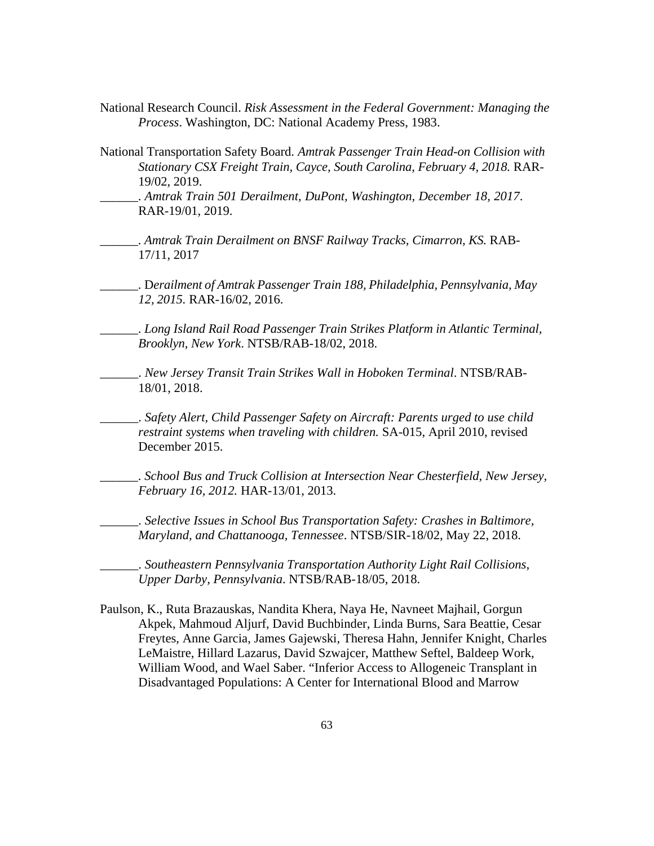- National Research Council. *Risk Assessment in the Federal Government: Managing the Process*. Washington, DC: National Academy Press, 1983.
- National Transportation Safety Board. *Amtrak Passenger Train Head-on Collision with Stationary CSX Freight Train, Cayce, South Carolina, February 4, 2018.* RAR-19/02, 2019.
	- \_\_\_\_\_\_. *Amtrak Train 501 Derailment, DuPont, Washington, December 18, 2017*. RAR-19/01, 2019.
- \_\_\_\_\_\_. *Amtrak Train Derailment on BNSF Railway Tracks, Cimarron, KS.* RAB-17/11, 2017
- \_\_\_\_\_\_. D*erailment of Amtrak Passenger Train 188, Philadelphia, Pennsylvania, May 12, 2015.* RAR-16/02, 2016.
- \_\_\_\_\_\_. *Long Island Rail Road Passenger Train Strikes Platform in Atlantic Terminal, Brooklyn, New York*. NTSB/RAB-18/02, 2018.
- \_\_\_\_\_\_. *New Jersey Transit Train Strikes Wall in Hoboken Terminal*. NTSB/RAB-18/01, 2018.
- \_\_\_\_\_\_. *Safety Alert, Child Passenger Safety on Aircraft: Parents urged to use child restraint systems when traveling with children.* SA-015, April 2010, revised December 2015.
- \_\_\_\_\_\_. *School Bus and Truck Collision at Intersection Near Chesterfield, New Jersey, February 16, 2012.* HAR-13/01, 2013.
	- \_\_\_\_\_\_. *Selective Issues in School Bus Transportation Safety: Crashes in Baltimore, Maryland, and Chattanooga, Tennessee*. NTSB/SIR-18/02, May 22, 2018.

\_\_\_\_\_\_. *Southeastern Pennsylvania Transportation Authority Light Rail Collisions, Upper Darby, Pennsylvania*. NTSB/RAB-18/05, 2018.

Paulson, K., Ruta Brazauskas, Nandita Khera, Naya He, Navneet Majhail, Gorgun Akpek, Mahmoud Aljurf, David Buchbinder, Linda Burns, Sara Beattie, Cesar Freytes, Anne Garcia, James Gajewski, Theresa Hahn, Jennifer Knight, Charles LeMaistre, Hillard Lazarus, David Szwajcer, Matthew Seftel, Baldeep Work, William Wood, and Wael Saber. "Inferior Access to Allogeneic Transplant in Disadvantaged Populations: A Center for International Blood and Marrow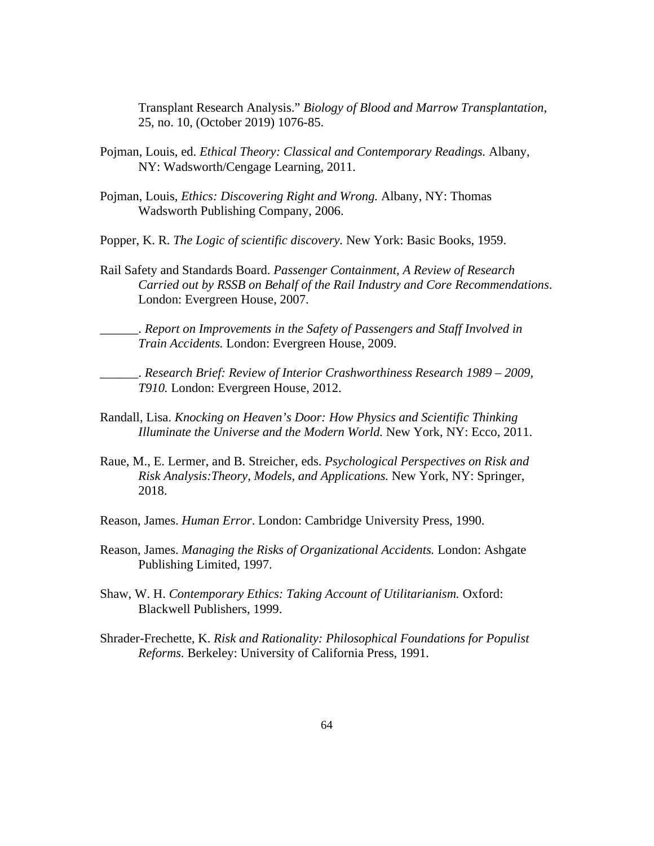Transplant Research Analysis." *Biology of Blood and Marrow Transplantation*, 25, no. 10, (October 2019) 1076-85.

- Pojman, Louis, ed. *Ethical Theory: Classical and Contemporary Readings.* Albany, NY: Wadsworth/Cengage Learning, 2011.
- Pojman, Louis, *Ethics: Discovering Right and Wrong.* Albany, NY: Thomas Wadsworth Publishing Company, 2006.
- Popper, K. R. *The Logic of scientific discovery.* New York: Basic Books, 1959.
- Rail Safety and Standards Board. *Passenger Containment, A Review of Research Carried out by RSSB on Behalf of the Rail Industry and Core Recommendations*. London: Evergreen House, 2007.

\_\_\_\_\_\_. *Report on Improvements in the Safety of Passengers and Staff Involved in Train Accidents.* London: Evergreen House, 2009.

\_\_\_\_\_\_. *Research Brief: Review of Interior Crashworthiness Research 1989 – 2009, T910.* London: Evergreen House, 2012.

- Randall, Lisa. *Knocking on Heaven's Door: How Physics and Scientific Thinking Illuminate the Universe and the Modern World.* New York, NY: Ecco, 2011.
- Raue, M., E. Lermer, and B. Streicher, eds. *Psychological Perspectives on Risk and Risk Analysis:Theory, Models, and Applications.* New York, NY: Springer, 2018.
- Reason, James. *Human Error*. London: Cambridge University Press, 1990.
- Reason, James. *Managing the Risks of Organizational Accidents.* London: Ashgate Publishing Limited, 1997.
- Shaw, W. H. *Contemporary Ethics: Taking Account of Utilitarianism.* Oxford: Blackwell Publishers, 1999.
- Shrader-Frechette, K. *Risk and Rationality: Philosophical Foundations for Populist Reforms.* Berkeley: University of California Press, 1991.